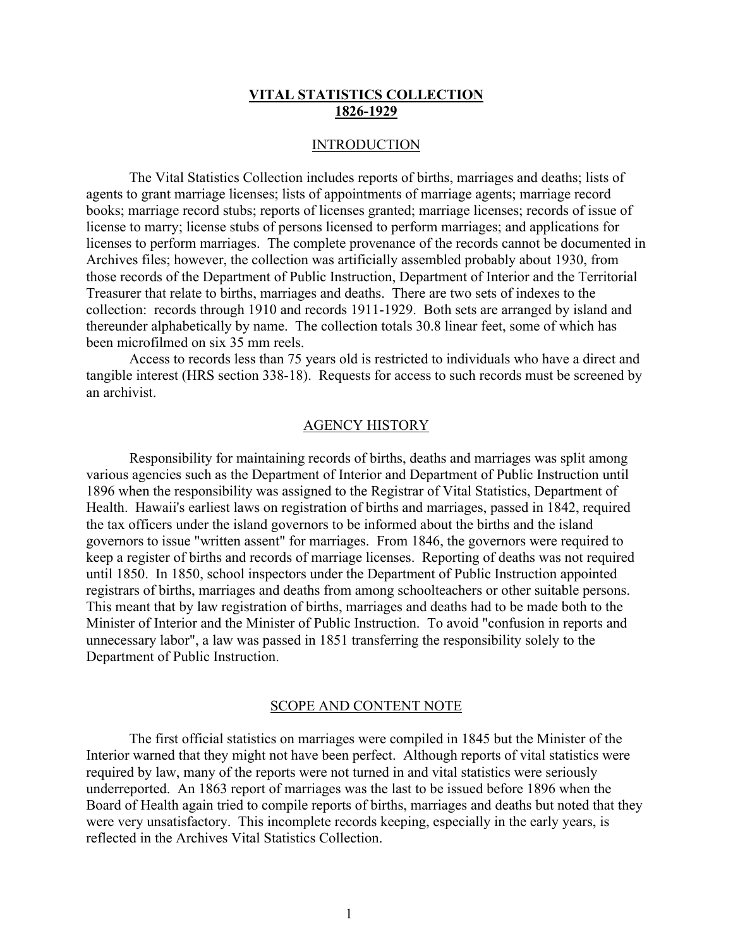#### INTRODUCTION

The Vital Statistics Collection includes reports of births, marriages and deaths; lists of agents to grant marriage licenses; lists of appointments of marriage agents; marriage record books; marriage record stubs; reports of licenses granted; marriage licenses; records of issue of license to marry; license stubs of persons licensed to perform marriages; and applications for licenses to perform marriages. The complete provenance of the records cannot be documented in Archives files; however, the collection was artificially assembled probably about 1930, from those records of the Department of Public Instruction, Department of Interior and the Territorial Treasurer that relate to births, marriages and deaths. There are two sets of indexes to the collection: records through 1910 and records 1911-1929. Both sets are arranged by island and thereunder alphabetically by name. The collection totals 30.8 linear feet, some of which has been microfilmed on six 35 mm reels.

Access to records less than 75 years old is restricted to individuals who have a direct and tangible interest (HRS section 338-18). Requests for access to such records must be screened by an archivist.

#### AGENCY HISTORY

Responsibility for maintaining records of births, deaths and marriages was split among various agencies such as the Department of Interior and Department of Public Instruction until 1896 when the responsibility was assigned to the Registrar of Vital Statistics, Department of Health. Hawaii's earliest laws on registration of births and marriages, passed in 1842, required the tax officers under the island governors to be informed about the births and the island governors to issue "written assent" for marriages. From 1846, the governors were required to keep a register of births and records of marriage licenses. Reporting of deaths was not required until 1850. In 1850, school inspectors under the Department of Public Instruction appointed registrars of births, marriages and deaths from among schoolteachers or other suitable persons. This meant that by law registration of births, marriages and deaths had to be made both to the Minister of Interior and the Minister of Public Instruction. To avoid "confusion in reports and unnecessary labor", a law was passed in 1851 transferring the responsibility solely to the Department of Public Instruction.

#### SCOPE AND CONTENT NOTE

The first official statistics on marriages were compiled in 1845 but the Minister of the Interior warned that they might not have been perfect. Although reports of vital statistics were required by law, many of the reports were not turned in and vital statistics were seriously underreported. An 1863 report of marriages was the last to be issued before 1896 when the Board of Health again tried to compile reports of births, marriages and deaths but noted that they were very unsatisfactory. This incomplete records keeping, especially in the early years, is reflected in the Archives Vital Statistics Collection.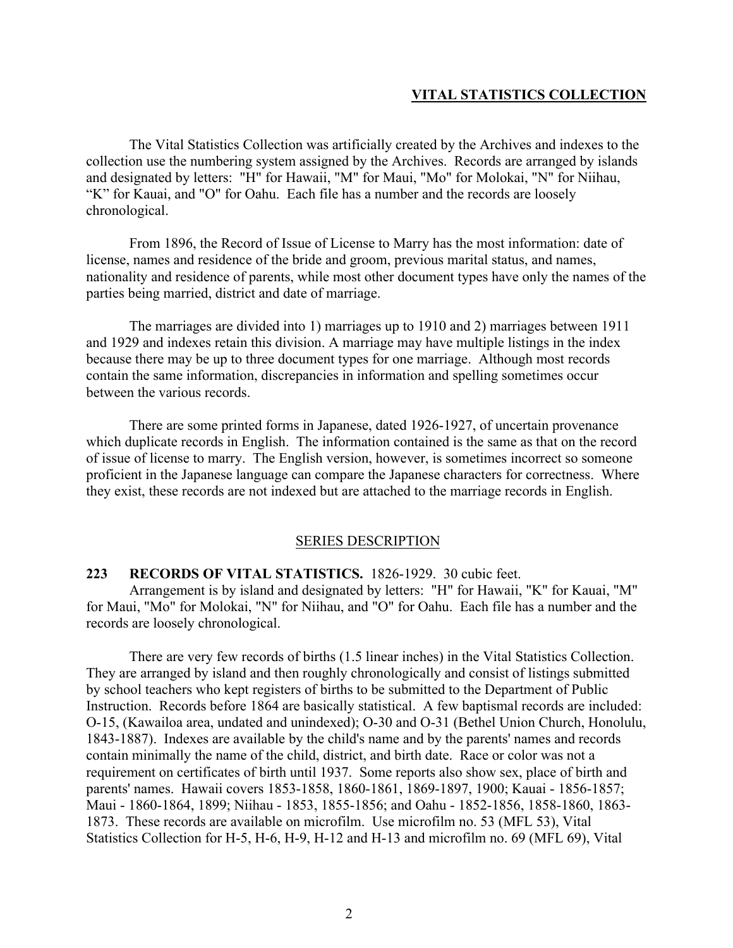The Vital Statistics Collection was artificially created by the Archives and indexes to the collection use the numbering system assigned by the Archives. Records are arranged by islands and designated by letters: "H" for Hawaii, "M" for Maui, "Mo" for Molokai, "N" for Niihau, "K" for Kauai, and "O" for Oahu. Each file has a number and the records are loosely chronological.

From 1896, the Record of Issue of License to Marry has the most information: date of license, names and residence of the bride and groom, previous marital status, and names, nationality and residence of parents, while most other document types have only the names of the parties being married, district and date of marriage.

The marriages are divided into 1) marriages up to 1910 and 2) marriages between 1911 and 1929 and indexes retain this division. A marriage may have multiple listings in the index because there may be up to three document types for one marriage. Although most records contain the same information, discrepancies in information and spelling sometimes occur between the various records.

There are some printed forms in Japanese, dated 1926-1927, of uncertain provenance which duplicate records in English. The information contained is the same as that on the record of issue of license to marry. The English version, however, is sometimes incorrect so someone proficient in the Japanese language can compare the Japanese characters for correctness. Where they exist, these records are not indexed but are attached to the marriage records in English.

#### SERIES DESCRIPTION

#### **223 RECORDS OF VITAL STATISTICS.** 1826-1929. 30 cubic feet.

Arrangement is by island and designated by letters: "H" for Hawaii, "K" for Kauai, "M" for Maui, "Mo" for Molokai, "N" for Niihau, and "O" for Oahu. Each file has a number and the records are loosely chronological.

There are very few records of births (1.5 linear inches) in the Vital Statistics Collection. They are arranged by island and then roughly chronologically and consist of listings submitted by school teachers who kept registers of births to be submitted to the Department of Public Instruction. Records before 1864 are basically statistical. A few baptismal records are included: O-15, (Kawailoa area, undated and unindexed); O-30 and O-31 (Bethel Union Church, Honolulu, 1843-1887). Indexes are available by the child's name and by the parents' names and records contain minimally the name of the child, district, and birth date. Race or color was not a requirement on certificates of birth until 1937. Some reports also show sex, place of birth and parents' names. Hawaii covers 1853-1858, 1860-1861, 1869-1897, 1900; Kauai - 1856-1857; Maui - 1860-1864, 1899; Niihau - 1853, 1855-1856; and Oahu - 1852-1856, 1858-1860, 1863- 1873. These records are available on microfilm. Use microfilm no. 53 (MFL 53), Vital Statistics Collection for H-5, H-6, H-9, H-12 and H-13 and microfilm no. 69 (MFL 69), Vital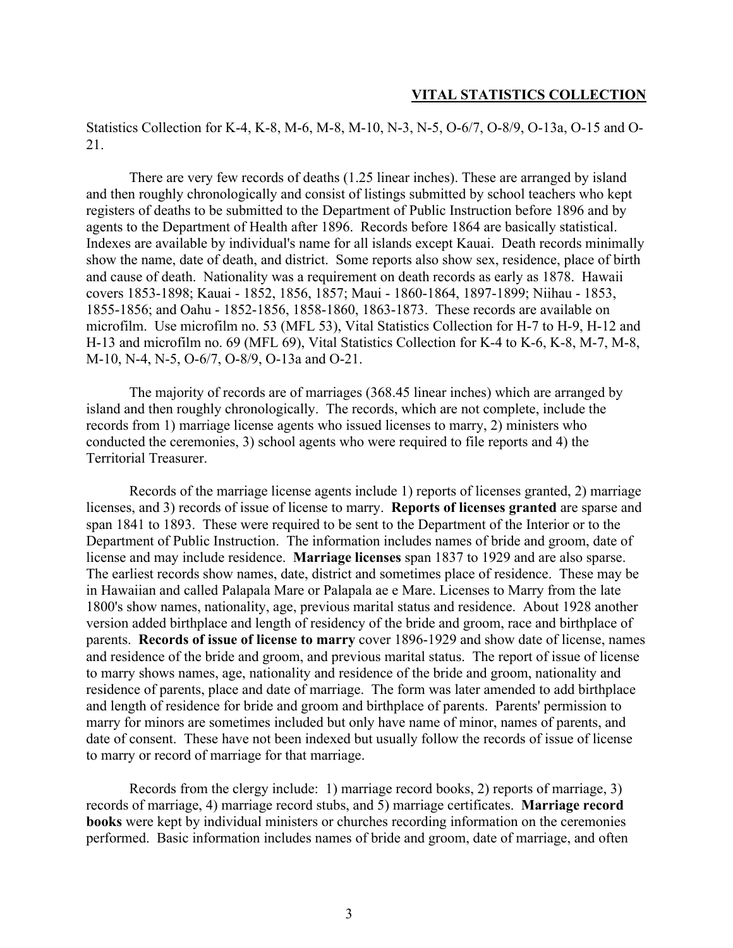Statistics Collection for K-4, K-8, M-6, M-8, M-10, N-3, N-5, O-6/7, O-8/9, O-13a, O-15 and O-21.

There are very few records of deaths (1.25 linear inches). These are arranged by island and then roughly chronologically and consist of listings submitted by school teachers who kept registers of deaths to be submitted to the Department of Public Instruction before 1896 and by agents to the Department of Health after 1896. Records before 1864 are basically statistical. Indexes are available by individual's name for all islands except Kauai. Death records minimally show the name, date of death, and district. Some reports also show sex, residence, place of birth and cause of death. Nationality was a requirement on death records as early as 1878. Hawaii covers 1853-1898; Kauai - 1852, 1856, 1857; Maui - 1860-1864, 1897-1899; Niihau - 1853, 1855-1856; and Oahu - 1852-1856, 1858-1860, 1863-1873. These records are available on microfilm. Use microfilm no. 53 (MFL 53), Vital Statistics Collection for H-7 to H-9, H-12 and H-13 and microfilm no. 69 (MFL 69), Vital Statistics Collection for K-4 to K-6, K-8, M-7, M-8, M-10, N-4, N-5, O-6/7, O-8/9, O-13a and O-21.

The majority of records are of marriages (368.45 linear inches) which are arranged by island and then roughly chronologically. The records, which are not complete, include the records from 1) marriage license agents who issued licenses to marry, 2) ministers who conducted the ceremonies, 3) school agents who were required to file reports and 4) the Territorial Treasurer.

Records of the marriage license agents include 1) reports of licenses granted, 2) marriage licenses, and 3) records of issue of license to marry. **Reports of licenses granted** are sparse and span 1841 to 1893. These were required to be sent to the Department of the Interior or to the Department of Public Instruction. The information includes names of bride and groom, date of license and may include residence. **Marriage licenses** span 1837 to 1929 and are also sparse. The earliest records show names, date, district and sometimes place of residence. These may be in Hawaiian and called Palapala Mare or Palapala ae e Mare. Licenses to Marry from the late 1800's show names, nationality, age, previous marital status and residence. About 1928 another version added birthplace and length of residency of the bride and groom, race and birthplace of parents. **Records of issue of license to marry** cover 1896-1929 and show date of license, names and residence of the bride and groom, and previous marital status. The report of issue of license to marry shows names, age, nationality and residence of the bride and groom, nationality and residence of parents, place and date of marriage. The form was later amended to add birthplace and length of residence for bride and groom and birthplace of parents. Parents' permission to marry for minors are sometimes included but only have name of minor, names of parents, and date of consent. These have not been indexed but usually follow the records of issue of license to marry or record of marriage for that marriage.

Records from the clergy include: 1) marriage record books, 2) reports of marriage, 3) records of marriage, 4) marriage record stubs, and 5) marriage certificates. **Marriage record books** were kept by individual ministers or churches recording information on the ceremonies performed. Basic information includes names of bride and groom, date of marriage, and often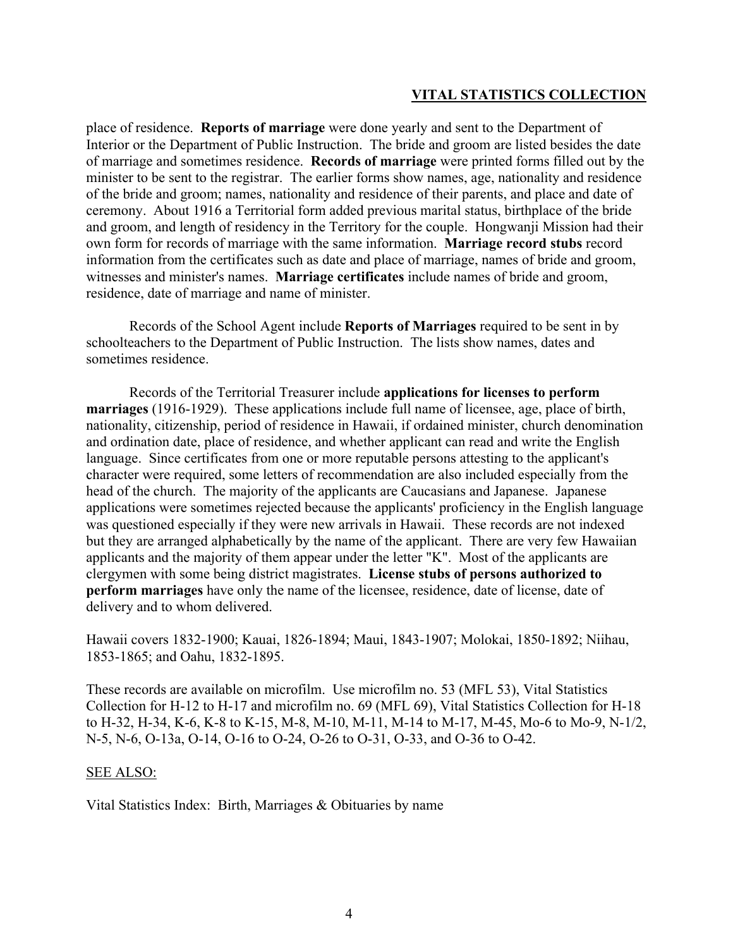place of residence. **Reports of marriage** were done yearly and sent to the Department of Interior or the Department of Public Instruction. The bride and groom are listed besides the date of marriage and sometimes residence. **Records of marriage** were printed forms filled out by the minister to be sent to the registrar. The earlier forms show names, age, nationality and residence of the bride and groom; names, nationality and residence of their parents, and place and date of ceremony. About 1916 a Territorial form added previous marital status, birthplace of the bride and groom, and length of residency in the Territory for the couple. Hongwanji Mission had their own form for records of marriage with the same information. **Marriage record stubs** record information from the certificates such as date and place of marriage, names of bride and groom, witnesses and minister's names. **Marriage certificates** include names of bride and groom, residence, date of marriage and name of minister.

Records of the School Agent include **Reports of Marriages** required to be sent in by schoolteachers to the Department of Public Instruction. The lists show names, dates and sometimes residence.

Records of the Territorial Treasurer include **applications for licenses to perform marriages** (1916-1929). These applications include full name of licensee, age, place of birth, nationality, citizenship, period of residence in Hawaii, if ordained minister, church denomination and ordination date, place of residence, and whether applicant can read and write the English language. Since certificates from one or more reputable persons attesting to the applicant's character were required, some letters of recommendation are also included especially from the head of the church. The majority of the applicants are Caucasians and Japanese. Japanese applications were sometimes rejected because the applicants' proficiency in the English language was questioned especially if they were new arrivals in Hawaii. These records are not indexed but they are arranged alphabetically by the name of the applicant. There are very few Hawaiian applicants and the majority of them appear under the letter "K". Most of the applicants are clergymen with some being district magistrates. **License stubs of persons authorized to perform marriages** have only the name of the licensee, residence, date of license, date of delivery and to whom delivered.

Hawaii covers 1832-1900; Kauai, 1826-1894; Maui, 1843-1907; Molokai, 1850-1892; Niihau, 1853-1865; and Oahu, 1832-1895.

These records are available on microfilm. Use microfilm no. 53 (MFL 53), Vital Statistics Collection for H-12 to H-17 and microfilm no. 69 (MFL 69), Vital Statistics Collection for H-18 to H-32, H-34, K-6, K-8 to K-15, M-8, M-10, M-11, M-14 to M-17, M-45, Mo-6 to Mo-9, N-1/2, N-5, N-6, O-13a, O-14, O-16 to O-24, O-26 to O-31, O-33, and O-36 to O-42.

#### SEE ALSO:

Vital Statistics Index: Birth, Marriages & Obituaries by name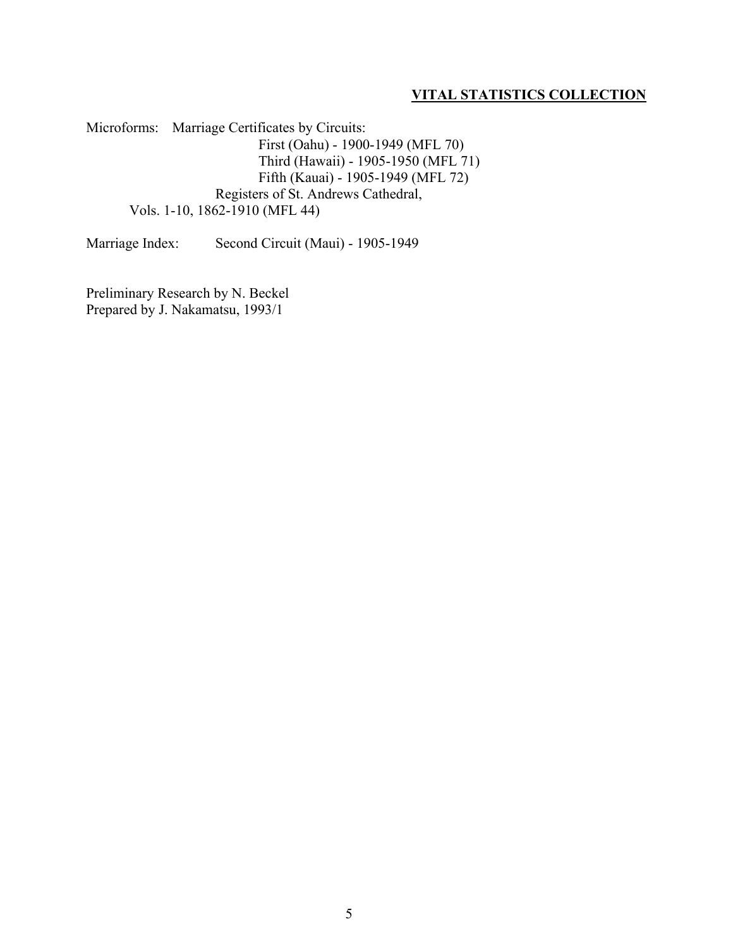Microforms: Marriage Certificates by Circuits: First (Oahu) - 1900-1949 (MFL 70) Third (Hawaii) - 1905-1950 (MFL 71) Fifth (Kauai) - 1905-1949 (MFL 72) Registers of St. Andrews Cathedral, Vols. 1-10, 1862-1910 (MFL 44)

Marriage Index: Second Circuit (Maui) - 1905-1949

Preliminary Research by N. Beckel Prepared by J. Nakamatsu, 1993/1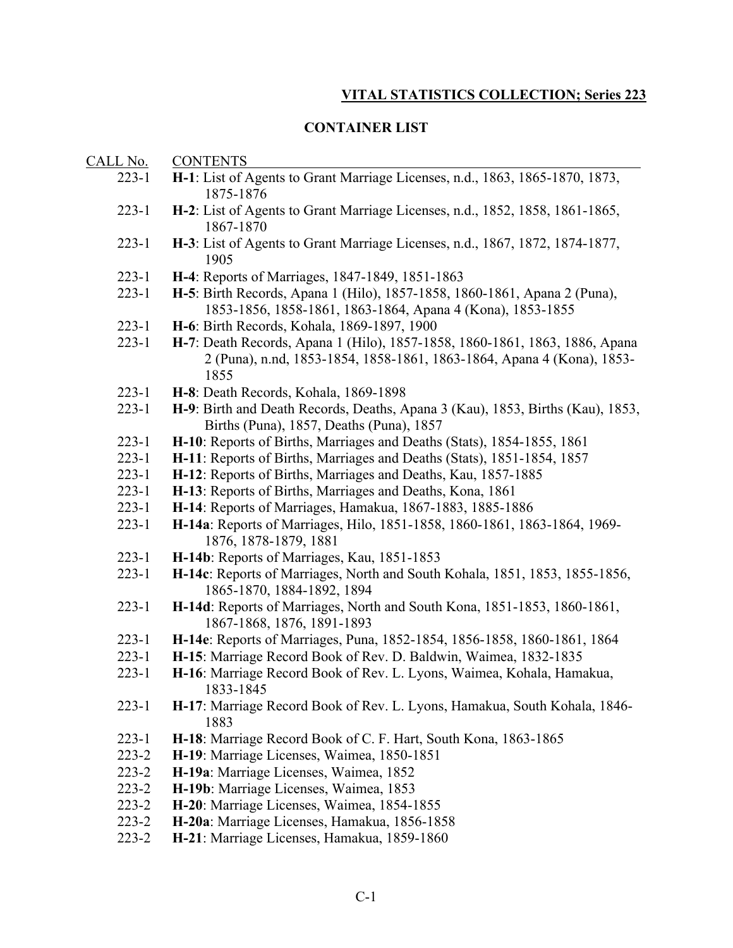## **CONTAINER LIST**

| CALL No.  | <b>CONTENTS</b>                                                                                                                                               |
|-----------|---------------------------------------------------------------------------------------------------------------------------------------------------------------|
| $223 - 1$ | H-1: List of Agents to Grant Marriage Licenses, n.d., 1863, 1865-1870, 1873,<br>1875-1876                                                                     |
| $223 - 1$ | H-2: List of Agents to Grant Marriage Licenses, n.d., 1852, 1858, 1861-1865,<br>1867-1870                                                                     |
| $223 - 1$ | H-3: List of Agents to Grant Marriage Licenses, n.d., 1867, 1872, 1874-1877,<br>1905                                                                          |
| $223 - 1$ | H-4: Reports of Marriages, 1847-1849, 1851-1863                                                                                                               |
| $223 - 1$ | H-5: Birth Records, Apana 1 (Hilo), 1857-1858, 1860-1861, Apana 2 (Puna),<br>1853-1856, 1858-1861, 1863-1864, Apana 4 (Kona), 1853-1855                       |
| $223 - 1$ | H-6: Birth Records, Kohala, 1869-1897, 1900                                                                                                                   |
| $223 - 1$ | H-7: Death Records, Apana 1 (Hilo), 1857-1858, 1860-1861, 1863, 1886, Apana<br>2 (Puna), n.nd, 1853-1854, 1858-1861, 1863-1864, Apana 4 (Kona), 1853-<br>1855 |
| $223 - 1$ | H-8: Death Records, Kohala, 1869-1898                                                                                                                         |
| $223 - 1$ | H-9: Birth and Death Records, Deaths, Apana 3 (Kau), 1853, Births (Kau), 1853,<br>Births (Puna), 1857, Deaths (Puna), 1857                                    |
| $223 - 1$ | H-10: Reports of Births, Marriages and Deaths (Stats), 1854-1855, 1861                                                                                        |
| $223 - 1$ | H-11: Reports of Births, Marriages and Deaths (Stats), 1851-1854, 1857                                                                                        |
| $223 - 1$ | H-12: Reports of Births, Marriages and Deaths, Kau, 1857-1885                                                                                                 |
| $223 - 1$ | H-13: Reports of Births, Marriages and Deaths, Kona, 1861                                                                                                     |
| $223 - 1$ | H-14: Reports of Marriages, Hamakua, 1867-1883, 1885-1886                                                                                                     |
| $223 - 1$ | H-14a: Reports of Marriages, Hilo, 1851-1858, 1860-1861, 1863-1864, 1969-<br>1876, 1878-1879, 1881                                                            |
| $223 - 1$ | H-14b: Reports of Marriages, Kau, 1851-1853                                                                                                                   |
| $223 - 1$ | H-14c: Reports of Marriages, North and South Kohala, 1851, 1853, 1855-1856,<br>1865-1870, 1884-1892, 1894                                                     |
| $223 - 1$ | H-14d: Reports of Marriages, North and South Kona, 1851-1853, 1860-1861,<br>1867-1868, 1876, 1891-1893                                                        |
| $223 - 1$ | H-14e: Reports of Marriages, Puna, 1852-1854, 1856-1858, 1860-1861, 1864                                                                                      |
| $223 - 1$ | H-15: Marriage Record Book of Rev. D. Baldwin, Waimea, 1832-1835                                                                                              |
| $223 - 1$ | H-16: Marriage Record Book of Rev. L. Lyons, Waimea, Kohala, Hamakua,<br>1833-1845                                                                            |
| $223 - 1$ | H-17: Marriage Record Book of Rev. L. Lyons, Hamakua, South Kohala, 1846-<br>1883                                                                             |
| $223 - 1$ | H-18: Marriage Record Book of C. F. Hart, South Kona, 1863-1865                                                                                               |
| $223 - 2$ | H-19: Marriage Licenses, Waimea, 1850-1851                                                                                                                    |
| $223 - 2$ | H-19a: Marriage Licenses, Waimea, 1852                                                                                                                        |
| $223 - 2$ | H-19b: Marriage Licenses, Waimea, 1853                                                                                                                        |
| $223 - 2$ | H-20: Marriage Licenses, Waimea, 1854-1855                                                                                                                    |
| $223 - 2$ | H-20a: Marriage Licenses, Hamakua, 1856-1858                                                                                                                  |
| $223 - 2$ | H-21: Marriage Licenses, Hamakua, 1859-1860                                                                                                                   |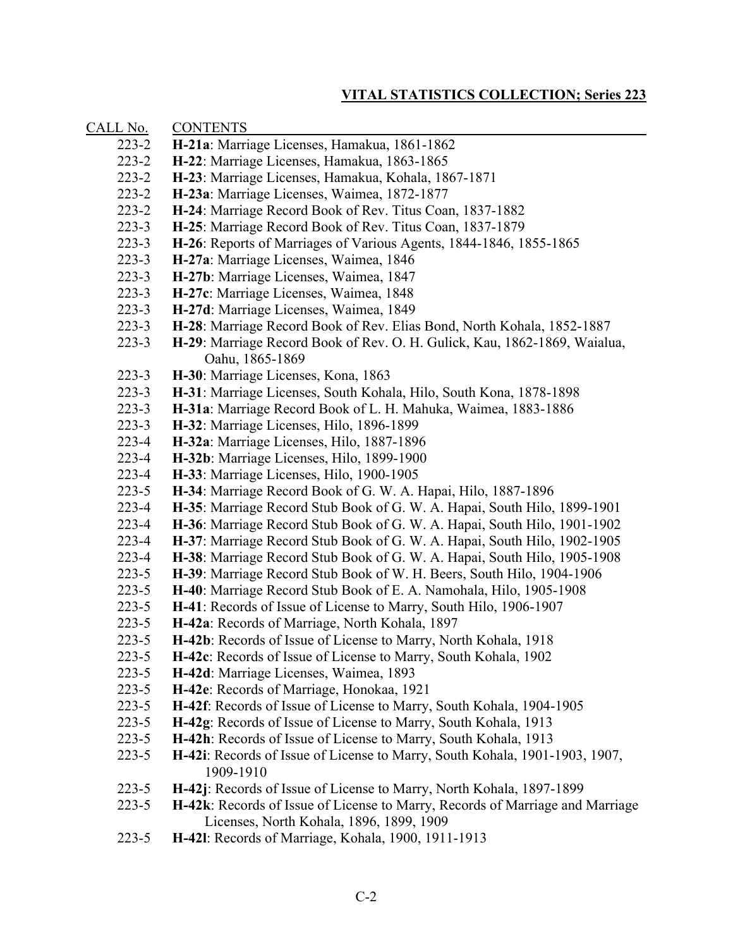| CALL No.  | <b>CONTENTS</b>                                                                                                           |
|-----------|---------------------------------------------------------------------------------------------------------------------------|
| $223 - 2$ | H-21a: Marriage Licenses, Hamakua, 1861-1862                                                                              |
| $223 - 2$ | H-22: Marriage Licenses, Hamakua, 1863-1865                                                                               |
| $223 - 2$ | H-23: Marriage Licenses, Hamakua, Kohala, 1867-1871                                                                       |
| $223 - 2$ | H-23a: Marriage Licenses, Waimea, 1872-1877                                                                               |
| $223 - 2$ | H-24: Marriage Record Book of Rev. Titus Coan, 1837-1882                                                                  |
| $223 - 3$ | H-25: Marriage Record Book of Rev. Titus Coan, 1837-1879                                                                  |
| $223 - 3$ | H-26: Reports of Marriages of Various Agents, 1844-1846, 1855-1865                                                        |
| $223 - 3$ | H-27a: Marriage Licenses, Waimea, 1846                                                                                    |
| $223 - 3$ | H-27b: Marriage Licenses, Waimea, 1847                                                                                    |
| $223 - 3$ | H-27c: Marriage Licenses, Waimea, 1848                                                                                    |
| $223 - 3$ | H-27d: Marriage Licenses, Waimea, 1849                                                                                    |
| $223 - 3$ | H-28: Marriage Record Book of Rev. Elias Bond, North Kohala, 1852-1887                                                    |
| $223 - 3$ | H-29: Marriage Record Book of Rev. O. H. Gulick, Kau, 1862-1869, Waialua,                                                 |
|           | Oahu, 1865-1869                                                                                                           |
| $223 - 3$ | H-30: Marriage Licenses, Kona, 1863                                                                                       |
| $223 - 3$ | H-31: Marriage Licenses, South Kohala, Hilo, South Kona, 1878-1898                                                        |
| $223 - 3$ | H-31a: Marriage Record Book of L. H. Mahuka, Waimea, 1883-1886                                                            |
| $223 - 3$ | H-32: Marriage Licenses, Hilo, 1896-1899                                                                                  |
| $223 - 4$ | H-32a: Marriage Licenses, Hilo, 1887-1896                                                                                 |
| $223 - 4$ | H-32b: Marriage Licenses, Hilo, 1899-1900                                                                                 |
| $223 - 4$ | H-33: Marriage Licenses, Hilo, 1900-1905                                                                                  |
| $223 - 5$ | H-34: Marriage Record Book of G. W. A. Hapai, Hilo, 1887-1896                                                             |
| $223 - 4$ | H-35: Marriage Record Stub Book of G. W. A. Hapai, South Hilo, 1899-1901                                                  |
| $223 - 4$ | H-36: Marriage Record Stub Book of G. W. A. Hapai, South Hilo, 1901-1902                                                  |
| $223 - 4$ | H-37: Marriage Record Stub Book of G. W. A. Hapai, South Hilo, 1902-1905                                                  |
| $223 - 4$ | H-38: Marriage Record Stub Book of G. W. A. Hapai, South Hilo, 1905-1908                                                  |
| $223 - 5$ | H-39: Marriage Record Stub Book of W. H. Beers, South Hilo, 1904-1906                                                     |
| $223 - 5$ | H-40: Marriage Record Stub Book of E. A. Namohala, Hilo, 1905-1908                                                        |
| $223 - 5$ | H-41: Records of Issue of License to Marry, South Hilo, 1906-1907                                                         |
| $223 - 5$ | H-42a: Records of Marriage, North Kohala, 1897                                                                            |
| $223 - 5$ | H-42b: Records of Issue of License to Marry, North Kohala, 1918                                                           |
| $223 - 5$ | H-42c: Records of Issue of License to Marry, South Kohala, 1902                                                           |
| $223 - 5$ | H-42d: Marriage Licenses, Waimea, 1893                                                                                    |
| $223 - 5$ | H-42e: Records of Marriage, Honokaa, 1921                                                                                 |
| $223 - 5$ | H-42f: Records of Issue of License to Marry, South Kohala, 1904-1905                                                      |
| $223 - 5$ | H-42g: Records of Issue of License to Marry, South Kohala, 1913                                                           |
| $223 - 5$ | H-42h: Records of Issue of License to Marry, South Kohala, 1913                                                           |
| $223 - 5$ | H-42i: Records of Issue of License to Marry, South Kohala, 1901-1903, 1907,<br>1909-1910                                  |
| $223 - 5$ | H-42j: Records of Issue of License to Marry, North Kohala, 1897-1899                                                      |
| $223 - 5$ | H-42k: Records of Issue of License to Marry, Records of Marriage and Marriage<br>Licenses, North Kohala, 1896, 1899, 1909 |
| $223 - 5$ | H-421: Records of Marriage, Kohala, 1900, 1911-1913                                                                       |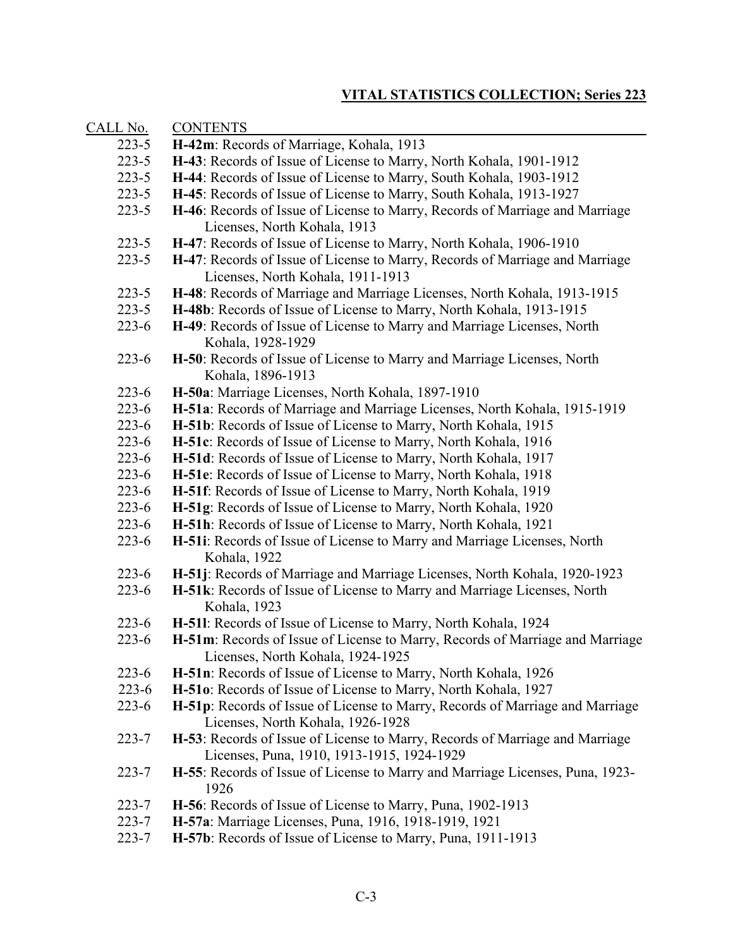| CALL No.  | <b>CONTENTS</b>                                                                                                            |
|-----------|----------------------------------------------------------------------------------------------------------------------------|
| $223 - 5$ | H-42m: Records of Marriage, Kohala, 1913                                                                                   |
| $223 - 5$ | H-43: Records of Issue of License to Marry, North Kohala, 1901-1912                                                        |
| $223 - 5$ | H-44: Records of Issue of License to Marry, South Kohala, 1903-1912                                                        |
| $223 - 5$ | H-45: Records of Issue of License to Marry, South Kohala, 1913-1927                                                        |
| $223 - 5$ | H-46: Records of Issue of License to Marry, Records of Marriage and Marriage                                               |
|           | Licenses, North Kohala, 1913                                                                                               |
| $223 - 5$ | H-47: Records of Issue of License to Marry, North Kohala, 1906-1910                                                        |
| $223 - 5$ | H-47: Records of Issue of License to Marry, Records of Marriage and Marriage                                               |
|           | Licenses, North Kohala, 1911-1913                                                                                          |
| $223 - 5$ | H-48: Records of Marriage and Marriage Licenses, North Kohala, 1913-1915                                                   |
| $223 - 5$ | H-48b: Records of Issue of License to Marry, North Kohala, 1913-1915                                                       |
| $223 - 6$ | H-49: Records of Issue of License to Marry and Marriage Licenses, North                                                    |
|           | Kohala, 1928-1929                                                                                                          |
| $223 - 6$ | H-50: Records of Issue of License to Marry and Marriage Licenses, North                                                    |
|           | Kohala, 1896-1913                                                                                                          |
| $223 - 6$ | H-50a: Marriage Licenses, North Kohala, 1897-1910                                                                          |
| $223 - 6$ | H-51a: Records of Marriage and Marriage Licenses, North Kohala, 1915-1919                                                  |
| $223 - 6$ | H-51b: Records of Issue of License to Marry, North Kohala, 1915                                                            |
| $223 - 6$ | H-51c: Records of Issue of License to Marry, North Kohala, 1916                                                            |
| $223 - 6$ | H-51d: Records of Issue of License to Marry, North Kohala, 1917                                                            |
| $223 - 6$ | H-51e: Records of Issue of License to Marry, North Kohala, 1918                                                            |
| $223 - 6$ | H-51f: Records of Issue of License to Marry, North Kohala, 1919                                                            |
| $223 - 6$ | H-51g: Records of Issue of License to Marry, North Kohala, 1920                                                            |
| $223 - 6$ | H-51h: Records of Issue of License to Marry, North Kohala, 1921                                                            |
| $223 - 6$ | H-51i: Records of Issue of License to Marry and Marriage Licenses, North                                                   |
|           | Kohala, 1922                                                                                                               |
| $223 - 6$ | H-51j: Records of Marriage and Marriage Licenses, North Kohala, 1920-1923                                                  |
| $223 - 6$ | H-51k: Records of Issue of License to Marry and Marriage Licenses, North                                                   |
|           | Kohala, 1923                                                                                                               |
| $223 - 6$ | H-511: Records of Issue of License to Marry, North Kohala, 1924                                                            |
| $223 - 6$ | H-51m: Records of Issue of License to Marry, Records of Marriage and Marriage                                              |
|           | Licenses, North Kohala, 1924-1925                                                                                          |
| $223 - 6$ | H-51n: Records of Issue of License to Marry, North Kohala, 1926                                                            |
| $223 - 6$ | H-510: Records of Issue of License to Marry, North Kohala, 1927                                                            |
| $223 - 6$ | H-51p: Records of Issue of License to Marry, Records of Marriage and Marriage                                              |
|           | Licenses, North Kohala, 1926-1928                                                                                          |
| $223 - 7$ | H-53: Records of Issue of License to Marry, Records of Marriage and Marriage<br>Licenses, Puna, 1910, 1913-1915, 1924-1929 |
|           |                                                                                                                            |
| $223 - 7$ | H-55: Records of Issue of License to Marry and Marriage Licenses, Puna, 1923-<br>1926                                      |
| $223 - 7$ | H-56: Records of Issue of License to Marry, Puna, 1902-1913                                                                |
| $223 - 7$ | H-57a: Marriage Licenses, Puna, 1916, 1918-1919, 1921                                                                      |
| $223 - 7$ | H-57b: Records of Issue of License to Marry, Puna, 1911-1913                                                               |
|           |                                                                                                                            |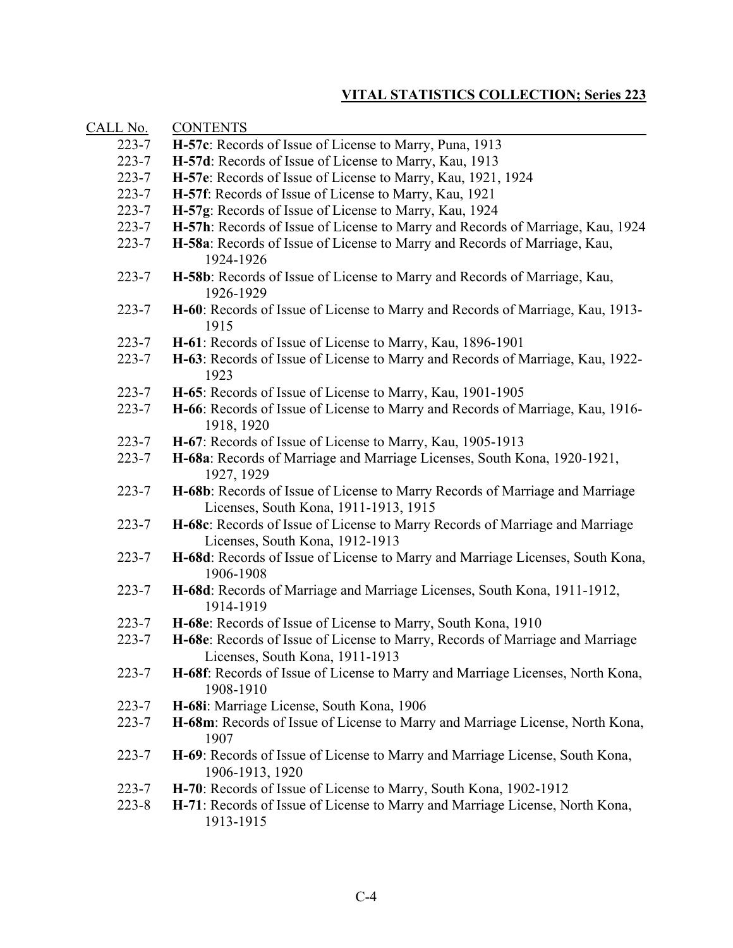| CALL No.  | <b>CONTENTS</b>                                                                                                       |
|-----------|-----------------------------------------------------------------------------------------------------------------------|
| $223 - 7$ | H-57c: Records of Issue of License to Marry, Puna, 1913                                                               |
| $223 - 7$ | H-57d: Records of Issue of License to Marry, Kau, 1913                                                                |
| $223 - 7$ | H-57e: Records of Issue of License to Marry, Kau, 1921, 1924                                                          |
| $223 - 7$ | H-57f: Records of Issue of License to Marry, Kau, 1921                                                                |
| $223 - 7$ | H-57g: Records of Issue of License to Marry, Kau, 1924                                                                |
| $223 - 7$ | H-57h: Records of Issue of License to Marry and Records of Marriage, Kau, 1924                                        |
| $223 - 7$ | H-58a: Records of Issue of License to Marry and Records of Marriage, Kau,<br>1924-1926                                |
| $223 - 7$ | H-58b: Records of Issue of License to Marry and Records of Marriage, Kau,<br>1926-1929                                |
| $223 - 7$ | H-60: Records of Issue of License to Marry and Records of Marriage, Kau, 1913-<br>1915                                |
| $223 - 7$ | H-61: Records of Issue of License to Marry, Kau, 1896-1901                                                            |
| $223 - 7$ | H-63: Records of Issue of License to Marry and Records of Marriage, Kau, 1922-<br>1923                                |
| $223 - 7$ | H-65: Records of Issue of License to Marry, Kau, 1901-1905                                                            |
| $223 - 7$ | H-66: Records of Issue of License to Marry and Records of Marriage, Kau, 1916-<br>1918, 1920                          |
| $223 - 7$ | H-67: Records of Issue of License to Marry, Kau, 1905-1913                                                            |
| $223 - 7$ | H-68a: Records of Marriage and Marriage Licenses, South Kona, 1920-1921,<br>1927, 1929                                |
| $223 - 7$ | H-68b: Records of Issue of License to Marry Records of Marriage and Marriage<br>Licenses, South Kona, 1911-1913, 1915 |
| $223 - 7$ | H-68c: Records of Issue of License to Marry Records of Marriage and Marriage<br>Licenses, South Kona, 1912-1913       |
| $223 - 7$ | H-68d: Records of Issue of License to Marry and Marriage Licenses, South Kona,<br>1906-1908                           |
| $223 - 7$ | H-68d: Records of Marriage and Marriage Licenses, South Kona, 1911-1912,<br>1914-1919                                 |
| $223 - 7$ | H-68e: Records of Issue of License to Marry, South Kona, 1910                                                         |
| $223 - 7$ | H-68e: Records of Issue of License to Marry, Records of Marriage and Marriage<br>Licenses, South Kona, 1911-1913      |
| $223 - 7$ | H-68f: Records of Issue of License to Marry and Marriage Licenses, North Kona,<br>1908-1910                           |
| $223 - 7$ | H-68i: Marriage License, South Kona, 1906                                                                             |
| $223 - 7$ | H-68m: Records of Issue of License to Marry and Marriage License, North Kona,<br>1907                                 |
| $223 - 7$ | H-69: Records of Issue of License to Marry and Marriage License, South Kona,<br>1906-1913, 1920                       |
| $223 - 7$ | H-70: Records of Issue of License to Marry, South Kona, 1902-1912                                                     |
| $223 - 8$ | H-71: Records of Issue of License to Marry and Marriage License, North Kona,<br>1913-1915                             |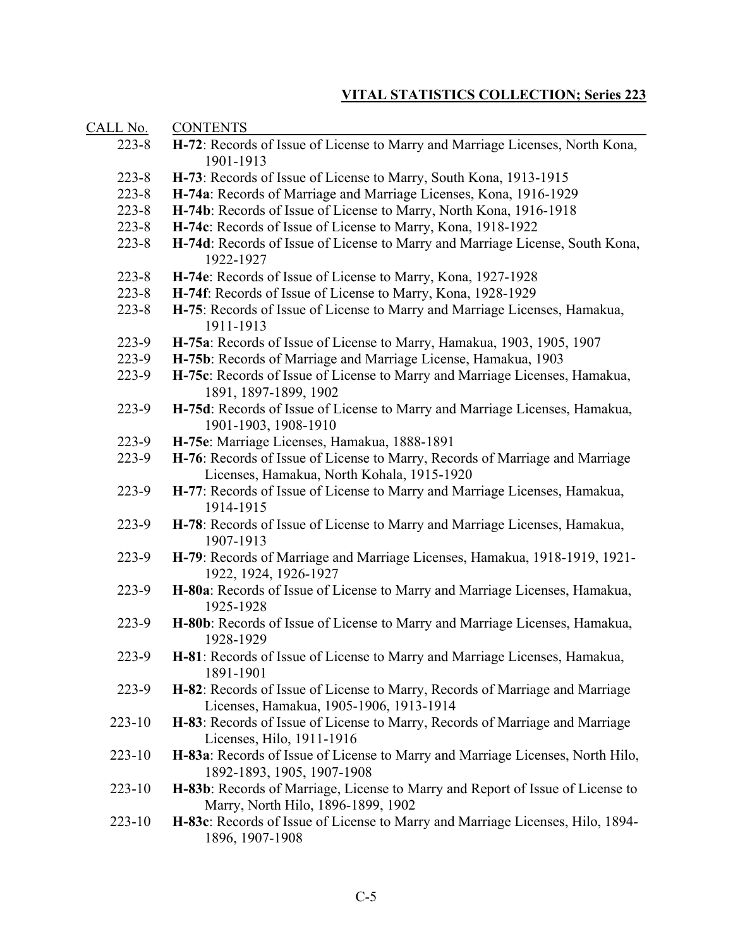| CALL No.   | <b>CONTENTS</b>                                                                                                            |
|------------|----------------------------------------------------------------------------------------------------------------------------|
| $223 - 8$  | H-72: Records of Issue of License to Marry and Marriage Licenses, North Kona,<br>1901-1913                                 |
| $223 - 8$  | H-73: Records of Issue of License to Marry, South Kona, 1913-1915                                                          |
| $223 - 8$  | H-74a: Records of Marriage and Marriage Licenses, Kona, 1916-1929                                                          |
| $223 - 8$  | H-74b: Records of Issue of License to Marry, North Kona, 1916-1918                                                         |
| $223 - 8$  | H-74c: Records of Issue of License to Marry, Kona, 1918-1922                                                               |
| $223 - 8$  | H-74d: Records of Issue of License to Marry and Marriage License, South Kona,<br>1922-1927                                 |
| $223 - 8$  | H-74e: Records of Issue of License to Marry, Kona, 1927-1928                                                               |
| $223 - 8$  | H-74f: Records of Issue of License to Marry, Kona, 1928-1929                                                               |
| $223 - 8$  | H-75: Records of Issue of License to Marry and Marriage Licenses, Hamakua,<br>1911-1913                                    |
| $223-9$    | H-75a: Records of Issue of License to Marry, Hamakua, 1903, 1905, 1907                                                     |
| $223-9$    | H-75b: Records of Marriage and Marriage License, Hamakua, 1903                                                             |
| $223-9$    | H-75c: Records of Issue of License to Marry and Marriage Licenses, Hamakua,<br>1891, 1897-1899, 1902                       |
| $223-9$    | H-75d: Records of Issue of License to Marry and Marriage Licenses, Hamakua,<br>1901-1903, 1908-1910                        |
| $223-9$    | H-75e: Marriage Licenses, Hamakua, 1888-1891                                                                               |
| $223-9$    | H-76: Records of Issue of License to Marry, Records of Marriage and Marriage<br>Licenses, Hamakua, North Kohala, 1915-1920 |
| $223-9$    | H-77: Records of Issue of License to Marry and Marriage Licenses, Hamakua,<br>1914-1915                                    |
| $223-9$    | H-78: Records of Issue of License to Marry and Marriage Licenses, Hamakua,<br>1907-1913                                    |
| $223-9$    | H-79: Records of Marriage and Marriage Licenses, Hamakua, 1918-1919, 1921-<br>1922, 1924, 1926-1927                        |
| $223-9$    | H-80a: Records of Issue of License to Marry and Marriage Licenses, Hamakua,<br>1925-1928                                   |
| $223-9$    | H-80b: Records of Issue of License to Marry and Marriage Licenses, Hamakua,<br>1928-1929                                   |
| 223-9      | H-81: Records of Issue of License to Marry and Marriage Licenses, Hamakua,<br>1891-1901                                    |
| $223-9$    | H-82: Records of Issue of License to Marry, Records of Marriage and Marriage<br>Licenses, Hamakua, 1905-1906, 1913-1914    |
| $223 - 10$ | H-83: Records of Issue of License to Marry, Records of Marriage and Marriage<br>Licenses, Hilo, 1911-1916                  |
| $223 - 10$ | H-83a: Records of Issue of License to Marry and Marriage Licenses, North Hilo,<br>1892-1893, 1905, 1907-1908               |
| $223 - 10$ | H-83b: Records of Marriage, License to Marry and Report of Issue of License to<br>Marry, North Hilo, 1896-1899, 1902       |
| $223 - 10$ | H-83c: Records of Issue of License to Marry and Marriage Licenses, Hilo, 1894-<br>1896, 1907-1908                          |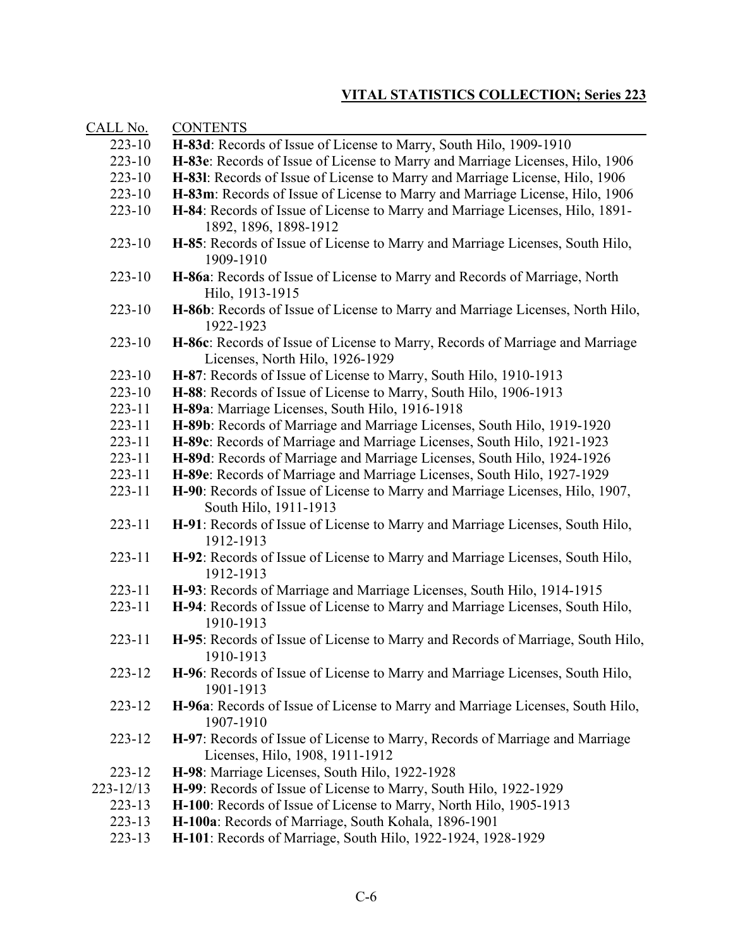| CALL No.   | <b>CONTENTS</b>                                                                                                  |
|------------|------------------------------------------------------------------------------------------------------------------|
| $223 - 10$ | H-83d: Records of Issue of License to Marry, South Hilo, 1909-1910                                               |
| $223 - 10$ | H-83e: Records of Issue of License to Marry and Marriage Licenses, Hilo, 1906                                    |
| $223 - 10$ | H-831: Records of Issue of License to Marry and Marriage License, Hilo, 1906                                     |
| $223 - 10$ | H-83m: Records of Issue of License to Marry and Marriage License, Hilo, 1906                                     |
| 223-10     | H-84: Records of Issue of License to Marry and Marriage Licenses, Hilo, 1891-                                    |
|            | 1892, 1896, 1898-1912                                                                                            |
| $223 - 10$ | H-85: Records of Issue of License to Marry and Marriage Licenses, South Hilo,<br>1909-1910                       |
| $223 - 10$ | H-86a: Records of Issue of License to Marry and Records of Marriage, North<br>Hilo, 1913-1915                    |
| $223 - 10$ | H-86b: Records of Issue of License to Marry and Marriage Licenses, North Hilo,<br>1922-1923                      |
| $223 - 10$ | H-86c: Records of Issue of License to Marry, Records of Marriage and Marriage<br>Licenses, North Hilo, 1926-1929 |
| $223 - 10$ | H-87: Records of Issue of License to Marry, South Hilo, 1910-1913                                                |
| $223 - 10$ | H-88: Records of Issue of License to Marry, South Hilo, 1906-1913                                                |
| $223 - 11$ | H-89a: Marriage Licenses, South Hilo, 1916-1918                                                                  |
| $223 - 11$ | H-89b: Records of Marriage and Marriage Licenses, South Hilo, 1919-1920                                          |
| $223 - 11$ | H-89c: Records of Marriage and Marriage Licenses, South Hilo, 1921-1923                                          |
| 223-11     | H-89d: Records of Marriage and Marriage Licenses, South Hilo, 1924-1926                                          |
| $223 - 11$ | H-89e: Records of Marriage and Marriage Licenses, South Hilo, 1927-1929                                          |
| $223 - 11$ | H-90: Records of Issue of License to Marry and Marriage Licenses, Hilo, 1907,<br>South Hilo, 1911-1913           |
| $223 - 11$ | H-91: Records of Issue of License to Marry and Marriage Licenses, South Hilo,<br>1912-1913                       |
| $223 - 11$ | H-92: Records of Issue of License to Marry and Marriage Licenses, South Hilo,<br>1912-1913                       |
| 223-11     | H-93: Records of Marriage and Marriage Licenses, South Hilo, 1914-1915                                           |
| 223-11     | H-94: Records of Issue of License to Marry and Marriage Licenses, South Hilo,<br>1910-1913                       |
| 223-11     | H-95: Records of Issue of License to Marry and Records of Marriage, South Hilo,<br>1910-1913                     |
| 223-12     | H-96: Records of Issue of License to Marry and Marriage Licenses, South Hilo,<br>1901-1913                       |
| 223-12     | H-96a: Records of Issue of License to Marry and Marriage Licenses, South Hilo,<br>1907-1910                      |
| 223-12     | H-97: Records of Issue of License to Marry, Records of Marriage and Marriage<br>Licenses, Hilo, 1908, 1911-1912  |
| 223-12     | H-98: Marriage Licenses, South Hilo, 1922-1928                                                                   |
| 223-12/13  | H-99: Records of Issue of License to Marry, South Hilo, 1922-1929                                                |
| $223 - 13$ | H-100: Records of Issue of License to Marry, North Hilo, 1905-1913                                               |
| $223 - 13$ | H-100a: Records of Marriage, South Kohala, 1896-1901                                                             |

223-13 **H-101**: Records of Marriage, South Hilo, 1922-1924, 1928-1929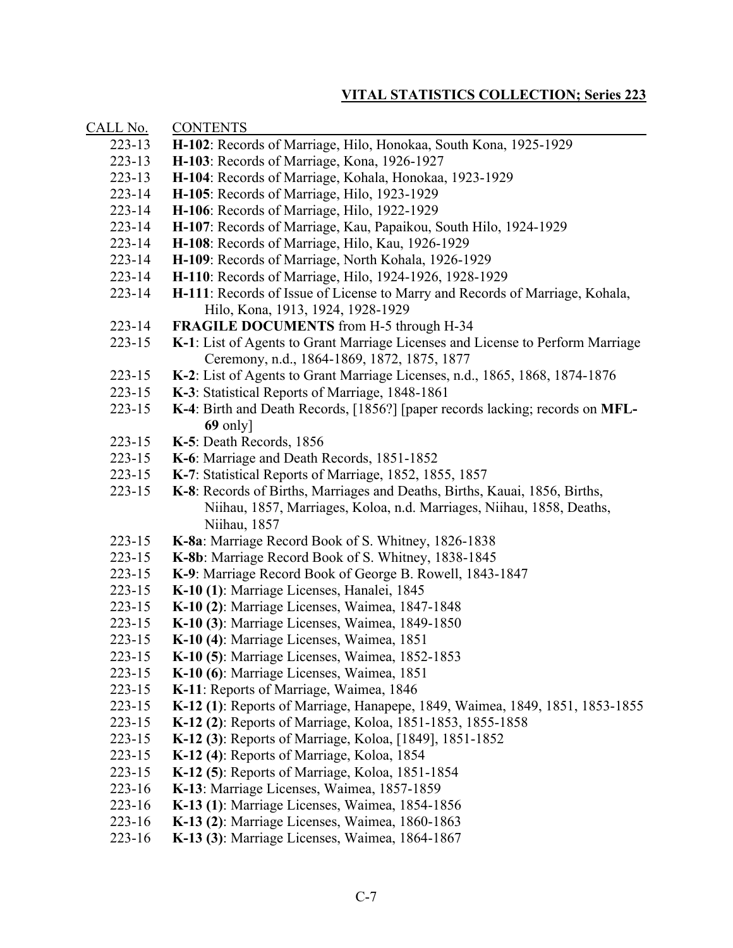| CALL No.   | <b>CONTENTS</b>                                                                                                                                     |
|------------|-----------------------------------------------------------------------------------------------------------------------------------------------------|
| $223 - 13$ | H-102: Records of Marriage, Hilo, Honokaa, South Kona, 1925-1929                                                                                    |
| $223 - 13$ | H-103: Records of Marriage, Kona, 1926-1927                                                                                                         |
| $223 - 13$ | H-104: Records of Marriage, Kohala, Honokaa, 1923-1929                                                                                              |
| 223-14     | H-105: Records of Marriage, Hilo, 1923-1929                                                                                                         |
| $223 - 14$ | H-106: Records of Marriage, Hilo, 1922-1929                                                                                                         |
| 223-14     | H-107: Records of Marriage, Kau, Papaikou, South Hilo, 1924-1929                                                                                    |
| $223 - 14$ | H-108: Records of Marriage, Hilo, Kau, 1926-1929                                                                                                    |
| $223 - 14$ | H-109: Records of Marriage, North Kohala, 1926-1929                                                                                                 |
| $223 - 14$ | H-110: Records of Marriage, Hilo, 1924-1926, 1928-1929                                                                                              |
| $223 - 14$ | H-111: Records of Issue of License to Marry and Records of Marriage, Kohala,<br>Hilo, Kona, 1913, 1924, 1928-1929                                   |
| $223 - 14$ | FRAGILE DOCUMENTS from H-5 through H-34                                                                                                             |
| $223 - 15$ | K-1: List of Agents to Grant Marriage Licenses and License to Perform Marriage<br>Ceremony, n.d., 1864-1869, 1872, 1875, 1877                       |
| $223 - 15$ | K-2: List of Agents to Grant Marriage Licenses, n.d., 1865, 1868, 1874-1876                                                                         |
| $223 - 15$ | K-3: Statistical Reports of Marriage, 1848-1861                                                                                                     |
| $223 - 15$ | K-4: Birth and Death Records, [1856?] [paper records lacking; records on MFL-                                                                       |
|            | $69$ only]                                                                                                                                          |
| $223 - 15$ | K-5: Death Records, 1856                                                                                                                            |
| $223 - 15$ | K-6: Marriage and Death Records, 1851-1852                                                                                                          |
| $223 - 15$ | K-7: Statistical Reports of Marriage, 1852, 1855, 1857                                                                                              |
| $223 - 15$ | K-8: Records of Births, Marriages and Deaths, Births, Kauai, 1856, Births,<br>Niihau, 1857, Marriages, Koloa, n.d. Marriages, Niihau, 1858, Deaths, |
| 223-15     | Niihau, 1857                                                                                                                                        |
| $223 - 15$ | K-8a: Marriage Record Book of S. Whitney, 1826-1838<br>K-8b: Marriage Record Book of S. Whitney, 1838-1845                                          |
| $223 - 15$ | K-9: Marriage Record Book of George B. Rowell, 1843-1847                                                                                            |
| $223 - 15$ | K-10 (1): Marriage Licenses, Hanalei, 1845                                                                                                          |
| $223 - 15$ | K-10 (2): Marriage Licenses, Waimea, 1847-1848                                                                                                      |
| $223 - 15$ | K-10 (3): Marriage Licenses, Waimea, 1849-1850                                                                                                      |
| $223 - 15$ | K-10 (4): Marriage Licenses, Waimea, 1851                                                                                                           |
| 223-15     | K-10 (5): Marriage Licenses, Waimea, 1852-1853                                                                                                      |
| 223-15     | K-10 (6): Marriage Licenses, Waimea, 1851                                                                                                           |
| 223-15     | K-11: Reports of Marriage, Waimea, 1846                                                                                                             |
| $223 - 15$ | K-12 (1): Reports of Marriage, Hanapepe, 1849, Waimea, 1849, 1851, 1853-1855                                                                        |
| $223 - 15$ | K-12 (2): Reports of Marriage, Koloa, 1851-1853, 1855-1858                                                                                          |
| $223 - 15$ | K-12 (3): Reports of Marriage, Koloa, [1849], 1851-1852                                                                                             |
| $223 - 15$ | K-12 (4): Reports of Marriage, Koloa, 1854                                                                                                          |
| $223 - 15$ | K-12 (5): Reports of Marriage, Koloa, 1851-1854                                                                                                     |
| $223 - 16$ | K-13: Marriage Licenses, Waimea, 1857-1859                                                                                                          |
| 223-16     | K-13 (1): Marriage Licenses, Waimea, 1854-1856                                                                                                      |
| 223-16     | K-13 (2): Marriage Licenses, Waimea, 1860-1863                                                                                                      |
| 223-16     | K-13 (3): Marriage Licenses, Waimea, 1864-1867                                                                                                      |
|            |                                                                                                                                                     |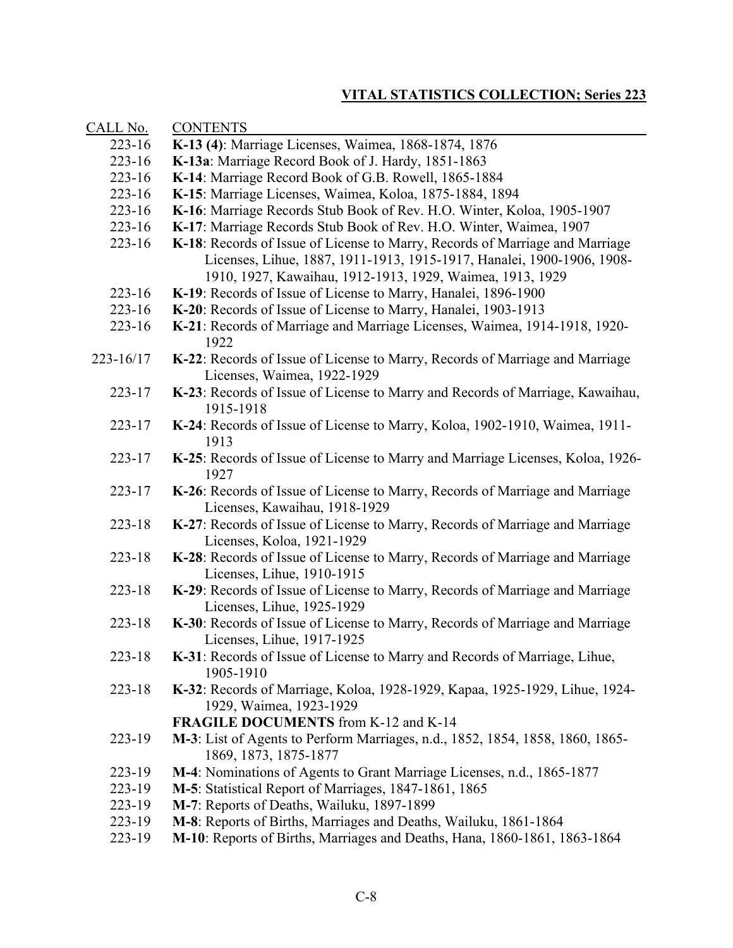| CALL No.   | <b>CONTENTS</b>                                                                                                                                                                                                     |
|------------|---------------------------------------------------------------------------------------------------------------------------------------------------------------------------------------------------------------------|
| $223 - 16$ | K-13 (4): Marriage Licenses, Waimea, 1868-1874, 1876                                                                                                                                                                |
| $223 - 16$ | K-13a: Marriage Record Book of J. Hardy, 1851-1863                                                                                                                                                                  |
| $223 - 16$ | K-14: Marriage Record Book of G.B. Rowell, 1865-1884                                                                                                                                                                |
| $223 - 16$ | K-15: Marriage Licenses, Waimea, Koloa, 1875-1884, 1894                                                                                                                                                             |
| $223 - 16$ | K-16: Marriage Records Stub Book of Rev. H.O. Winter, Koloa, 1905-1907                                                                                                                                              |
| $223 - 16$ | K-17: Marriage Records Stub Book of Rev. H.O. Winter, Waimea, 1907                                                                                                                                                  |
| $223 - 16$ | K-18: Records of Issue of License to Marry, Records of Marriage and Marriage<br>Licenses, Lihue, 1887, 1911-1913, 1915-1917, Hanalei, 1900-1906, 1908-<br>1910, 1927, Kawaihau, 1912-1913, 1929, Waimea, 1913, 1929 |
| $223 - 16$ | K-19: Records of Issue of License to Marry, Hanalei, 1896-1900                                                                                                                                                      |
| $223 - 16$ | K-20: Records of Issue of License to Marry, Hanalei, 1903-1913                                                                                                                                                      |
| $223 - 16$ | K-21: Records of Marriage and Marriage Licenses, Waimea, 1914-1918, 1920-<br>1922                                                                                                                                   |
| 223-16/17  | K-22: Records of Issue of License to Marry, Records of Marriage and Marriage<br>Licenses, Waimea, 1922-1929                                                                                                         |
| $223 - 17$ | K-23: Records of Issue of License to Marry and Records of Marriage, Kawaihau,<br>1915-1918                                                                                                                          |
| 223-17     | K-24: Records of Issue of License to Marry, Koloa, 1902-1910, Waimea, 1911-<br>1913                                                                                                                                 |
| 223-17     | K-25: Records of Issue of License to Marry and Marriage Licenses, Koloa, 1926-<br>1927                                                                                                                              |
| 223-17     | K-26: Records of Issue of License to Marry, Records of Marriage and Marriage<br>Licenses, Kawaihau, 1918-1929                                                                                                       |
| 223-18     | K-27: Records of Issue of License to Marry, Records of Marriage and Marriage<br>Licenses, Koloa, 1921-1929                                                                                                          |
| 223-18     | K-28: Records of Issue of License to Marry, Records of Marriage and Marriage<br>Licenses, Lihue, 1910-1915                                                                                                          |
| $223 - 18$ | K-29: Records of Issue of License to Marry, Records of Marriage and Marriage<br>Licenses, Lihue, 1925-1929                                                                                                          |
| 223-18     | K-30: Records of Issue of License to Marry, Records of Marriage and Marriage<br>Licenses, Lihue, 1917-1925                                                                                                          |
| 223-18     | K-31: Records of Issue of License to Marry and Records of Marriage, Lihue,<br>1905-1910                                                                                                                             |
| 223-18     | K-32: Records of Marriage, Koloa, 1928-1929, Kapaa, 1925-1929, Lihue, 1924-<br>1929, Waimea, 1923-1929                                                                                                              |
|            | <b>FRAGILE DOCUMENTS</b> from K-12 and K-14                                                                                                                                                                         |
| 223-19     | M-3: List of Agents to Perform Marriages, n.d., 1852, 1854, 1858, 1860, 1865-<br>1869, 1873, 1875-1877                                                                                                              |
| 223-19     | M-4: Nominations of Agents to Grant Marriage Licenses, n.d., 1865-1877                                                                                                                                              |
| 223-19     | M-5: Statistical Report of Marriages, 1847-1861, 1865                                                                                                                                                               |
| 223-19     | M-7: Reports of Deaths, Wailuku, 1897-1899                                                                                                                                                                          |
| 223-19     | M-8: Reports of Births, Marriages and Deaths, Wailuku, 1861-1864                                                                                                                                                    |
| 223-19     | M-10: Reports of Births, Marriages and Deaths, Hana, 1860-1861, 1863-1864                                                                                                                                           |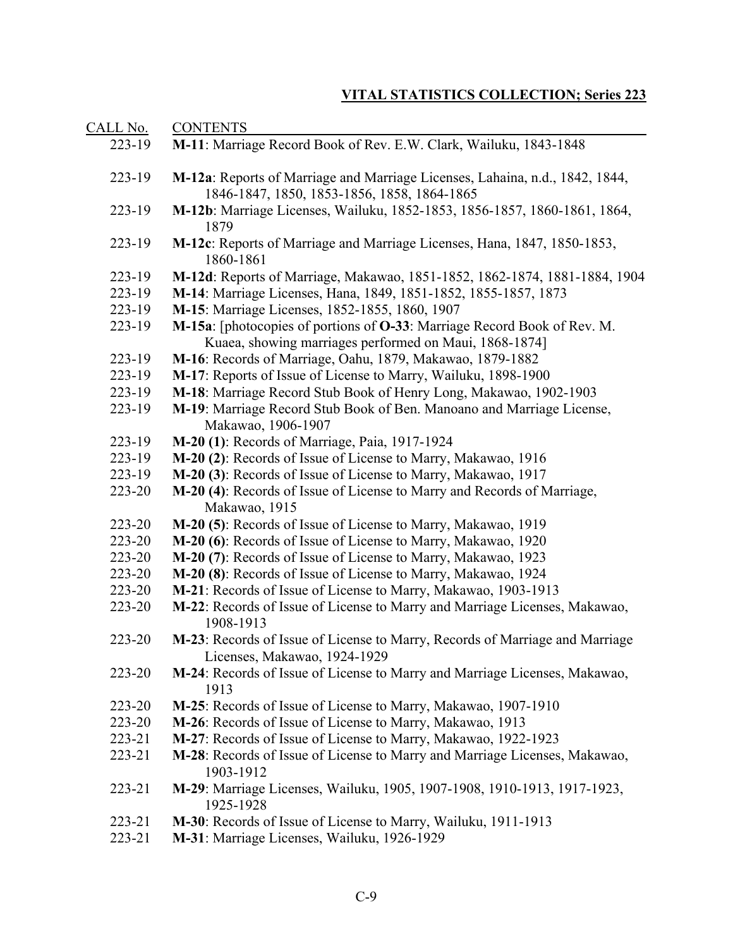| CALL No.   | <b>CONTENTS</b>                                                                                                                    |
|------------|------------------------------------------------------------------------------------------------------------------------------------|
| 223-19     | M-11: Marriage Record Book of Rev. E.W. Clark, Wailuku, 1843-1848                                                                  |
| 223-19     | M-12a: Reports of Marriage and Marriage Licenses, Lahaina, n.d., 1842, 1844,<br>1846-1847, 1850, 1853-1856, 1858, 1864-1865        |
| 223-19     | M-12b: Marriage Licenses, Wailuku, 1852-1853, 1856-1857, 1860-1861, 1864,<br>1879                                                  |
| 223-19     | M-12c: Reports of Marriage and Marriage Licenses, Hana, 1847, 1850-1853,<br>1860-1861                                              |
| 223-19     | M-12d: Reports of Marriage, Makawao, 1851-1852, 1862-1874, 1881-1884, 1904                                                         |
| 223-19     | M-14: Marriage Licenses, Hana, 1849, 1851-1852, 1855-1857, 1873                                                                    |
| 223-19     | M-15: Marriage Licenses, 1852-1855, 1860, 1907                                                                                     |
| 223-19     | M-15a: [photocopies of portions of O-33: Marriage Record Book of Rev. M.<br>Kuaea, showing marriages performed on Maui, 1868-1874] |
| 223-19     | M-16: Records of Marriage, Oahu, 1879, Makawao, 1879-1882                                                                          |
| 223-19     | M-17: Reports of Issue of License to Marry, Wailuku, 1898-1900                                                                     |
| 223-19     | M-18: Marriage Record Stub Book of Henry Long, Makawao, 1902-1903                                                                  |
| 223-19     | M-19: Marriage Record Stub Book of Ben. Manoano and Marriage License,<br>Makawao, 1906-1907                                        |
| 223-19     | M-20 (1): Records of Marriage, Paia, 1917-1924                                                                                     |
| 223-19     | M-20 (2): Records of Issue of License to Marry, Makawao, 1916                                                                      |
| 223-19     | M-20 (3): Records of Issue of License to Marry, Makawao, 1917                                                                      |
| 223-20     | M-20 (4): Records of Issue of License to Marry and Records of Marriage,<br>Makawao, 1915                                           |
| 223-20     | M-20 (5): Records of Issue of License to Marry, Makawao, 1919                                                                      |
| 223-20     | M-20 (6): Records of Issue of License to Marry, Makawao, 1920                                                                      |
| 223-20     | M-20 (7): Records of Issue of License to Marry, Makawao, 1923                                                                      |
| 223-20     | M-20 (8): Records of Issue of License to Marry, Makawao, 1924                                                                      |
| 223-20     | M-21: Records of Issue of License to Marry, Makawao, 1903-1913                                                                     |
| 223-20     | M-22: Records of Issue of License to Marry and Marriage Licenses, Makawao,<br>1908-1913                                            |
| 223-20     | M-23: Records of Issue of License to Marry, Records of Marriage and Marriage<br>Licenses, Makawao, 1924-1929                       |
| 223-20     | M-24: Records of Issue of License to Marry and Marriage Licenses, Makawao,<br>1913                                                 |
| 223-20     | M-25: Records of Issue of License to Marry, Makawao, 1907-1910                                                                     |
| 223-20     | M-26: Records of Issue of License to Marry, Makawao, 1913                                                                          |
| $223 - 21$ | M-27: Records of Issue of License to Marry, Makawao, 1922-1923                                                                     |
| $223 - 21$ | M-28: Records of Issue of License to Marry and Marriage Licenses, Makawao,<br>1903-1912                                            |
| 223-21     | M-29: Marriage Licenses, Wailuku, 1905, 1907-1908, 1910-1913, 1917-1923,<br>1925-1928                                              |
| 223-21     | M-30: Records of Issue of License to Marry, Wailuku, 1911-1913                                                                     |
| 223-21     | M-31: Marriage Licenses, Wailuku, 1926-1929                                                                                        |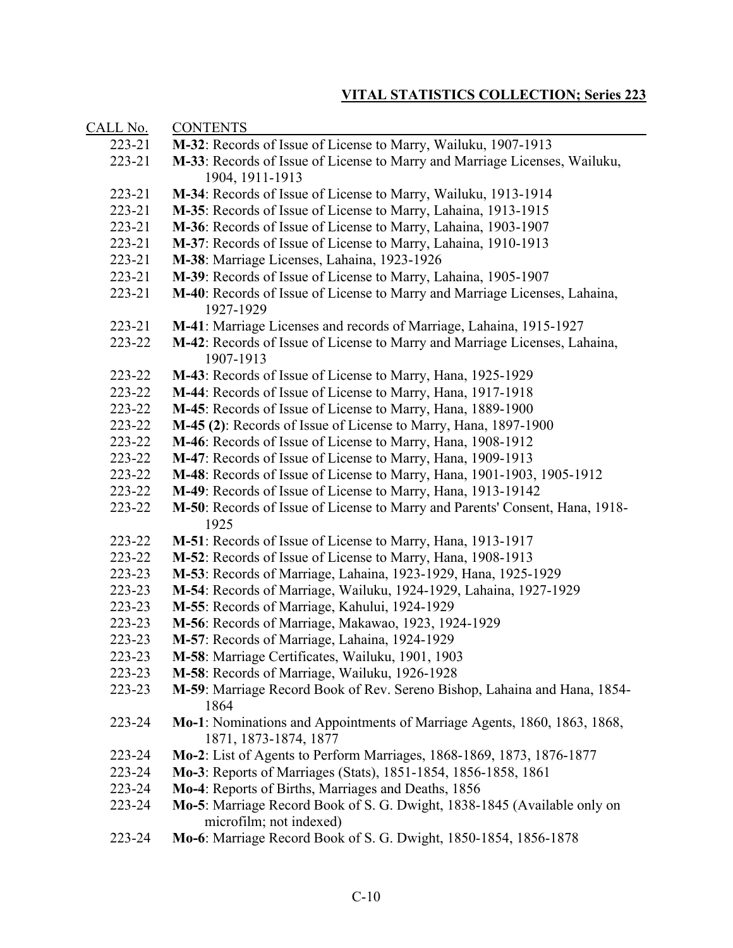| CALL No.   | <b>CONTENTS</b>                                                                                     |
|------------|-----------------------------------------------------------------------------------------------------|
| 223-21     | M-32: Records of Issue of License to Marry, Wailuku, 1907-1913                                      |
| 223-21     | M-33: Records of Issue of License to Marry and Marriage Licenses, Wailuku,                          |
|            | 1904, 1911-1913                                                                                     |
| 223-21     | M-34: Records of Issue of License to Marry, Wailuku, 1913-1914                                      |
| 223-21     | M-35: Records of Issue of License to Marry, Lahaina, 1913-1915                                      |
| 223-21     | M-36: Records of Issue of License to Marry, Lahaina, 1903-1907                                      |
| 223-21     | M-37: Records of Issue of License to Marry, Lahaina, 1910-1913                                      |
| $223 - 21$ | M-38: Marriage Licenses, Lahaina, 1923-1926                                                         |
| $223 - 21$ | M-39: Records of Issue of License to Marry, Lahaina, 1905-1907                                      |
| 223-21     | M-40: Records of Issue of License to Marry and Marriage Licenses, Lahaina,<br>1927-1929             |
| 223-21     | M-41: Marriage Licenses and records of Marriage, Lahaina, 1915-1927                                 |
| 223-22     | M-42: Records of Issue of License to Marry and Marriage Licenses, Lahaina,<br>1907-1913             |
| 223-22     | M-43: Records of Issue of License to Marry, Hana, 1925-1929                                         |
| 223-22     | M-44: Records of Issue of License to Marry, Hana, 1917-1918                                         |
| 223-22     | M-45: Records of Issue of License to Marry, Hana, 1889-1900                                         |
| 223-22     | M-45 (2): Records of Issue of License to Marry, Hana, 1897-1900                                     |
| 223-22     | M-46: Records of Issue of License to Marry, Hana, 1908-1912                                         |
| 223-22     | M-47: Records of Issue of License to Marry, Hana, 1909-1913                                         |
| 223-22     | M-48: Records of Issue of License to Marry, Hana, 1901-1903, 1905-1912                              |
| 223-22     | M-49: Records of Issue of License to Marry, Hana, 1913-19142                                        |
| 223-22     | M-50: Records of Issue of License to Marry and Parents' Consent, Hana, 1918-<br>1925                |
| 223-22     | M-51: Records of Issue of License to Marry, Hana, 1913-1917                                         |
| 223-22     | M-52: Records of Issue of License to Marry, Hana, 1908-1913                                         |
| 223-23     | M-53: Records of Marriage, Lahaina, 1923-1929, Hana, 1925-1929                                      |
| 223-23     | M-54: Records of Marriage, Wailuku, 1924-1929, Lahaina, 1927-1929                                   |
| 223-23     | M-55: Records of Marriage, Kahului, 1924-1929                                                       |
| 223-23     | M-56: Records of Marriage, Makawao, 1923, 1924-1929                                                 |
| 223-23     | M-57: Records of Marriage, Lahaina, 1924-1929                                                       |
| 223-23     | M-58: Marriage Certificates, Wailuku, 1901, 1903                                                    |
| 223-23     | M-58: Records of Marriage, Wailuku, 1926-1928                                                       |
| 223-23     | M-59: Marriage Record Book of Rev. Sereno Bishop, Lahaina and Hana, 1854-<br>1864                   |
| 223-24     | Mo-1: Nominations and Appointments of Marriage Agents, 1860, 1863, 1868,<br>1871, 1873-1874, 1877   |
| 223-24     | Mo-2: List of Agents to Perform Marriages, 1868-1869, 1873, 1876-1877                               |
| 223-24     | Mo-3: Reports of Marriages (Stats), 1851-1854, 1856-1858, 1861                                      |
| 223-24     | Mo-4: Reports of Births, Marriages and Deaths, 1856                                                 |
| 223-24     | Mo-5: Marriage Record Book of S. G. Dwight, 1838-1845 (Available only on<br>microfilm; not indexed) |
| 223-24     | Mo-6: Marriage Record Book of S. G. Dwight, 1850-1854, 1856-1878                                    |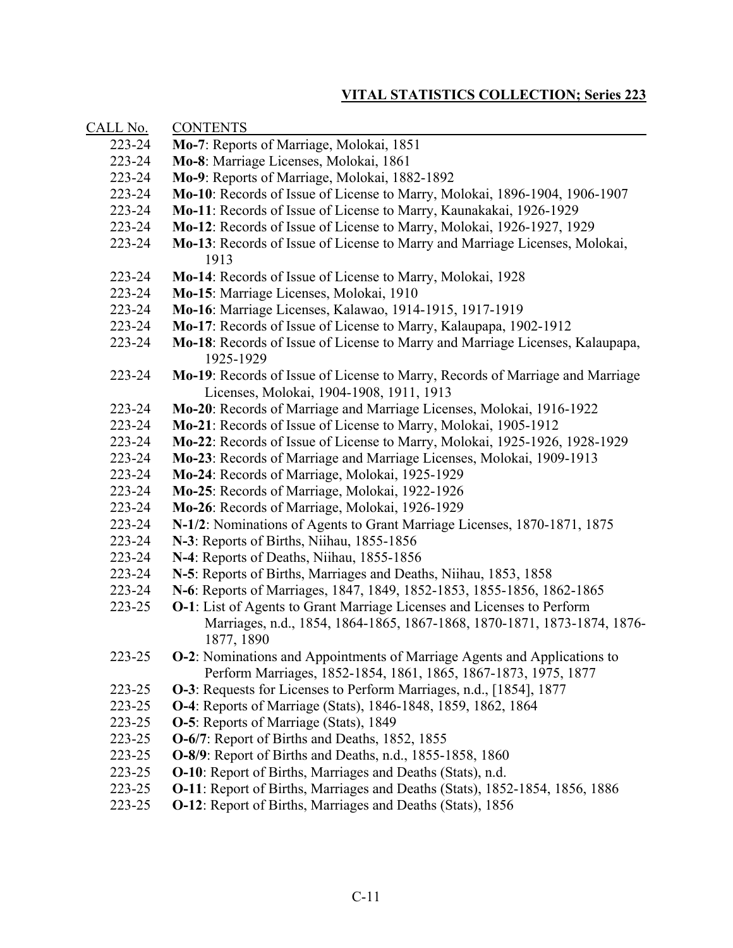| <u>CALL No.</u> | <b>CONTENTS</b>                                                                                                                                                          |
|-----------------|--------------------------------------------------------------------------------------------------------------------------------------------------------------------------|
| 223-24          | Mo-7: Reports of Marriage, Molokai, 1851                                                                                                                                 |
| 223-24          | Mo-8: Marriage Licenses, Molokai, 1861                                                                                                                                   |
| 223-24          | Mo-9: Reports of Marriage, Molokai, 1882-1892                                                                                                                            |
| 223-24          | Mo-10: Records of Issue of License to Marry, Molokai, 1896-1904, 1906-1907                                                                                               |
| 223-24          | Mo-11: Records of Issue of License to Marry, Kaunakakai, 1926-1929                                                                                                       |
| 223-24          | Mo-12: Records of Issue of License to Marry, Molokai, 1926-1927, 1929                                                                                                    |
| 223-24          | Mo-13: Records of Issue of License to Marry and Marriage Licenses, Molokai,<br>1913                                                                                      |
| 223-24          | Mo-14: Records of Issue of License to Marry, Molokai, 1928                                                                                                               |
| 223-24          | Mo-15: Marriage Licenses, Molokai, 1910                                                                                                                                  |
| 223-24          | Mo-16: Marriage Licenses, Kalawao, 1914-1915, 1917-1919                                                                                                                  |
| 223-24          | Mo-17: Records of Issue of License to Marry, Kalaupapa, 1902-1912                                                                                                        |
| 223-24          | Mo-18: Records of Issue of License to Marry and Marriage Licenses, Kalaupapa,<br>1925-1929                                                                               |
| 223-24          | Mo-19: Records of Issue of License to Marry, Records of Marriage and Marriage<br>Licenses, Molokai, 1904-1908, 1911, 1913                                                |
| 223-24          | Mo-20: Records of Marriage and Marriage Licenses, Molokai, 1916-1922                                                                                                     |
| 223-24          | Mo-21: Records of Issue of License to Marry, Molokai, 1905-1912                                                                                                          |
| 223-24          | Mo-22: Records of Issue of License to Marry, Molokai, 1925-1926, 1928-1929                                                                                               |
| 223-24          | Mo-23: Records of Marriage and Marriage Licenses, Molokai, 1909-1913                                                                                                     |
| 223-24          | Mo-24: Records of Marriage, Molokai, 1925-1929                                                                                                                           |
| 223-24          | Mo-25: Records of Marriage, Molokai, 1922-1926                                                                                                                           |
| 223-24          | Mo-26: Records of Marriage, Molokai, 1926-1929                                                                                                                           |
| 223-24          | N-1/2: Nominations of Agents to Grant Marriage Licenses, 1870-1871, 1875                                                                                                 |
| 223-24          | N-3: Reports of Births, Niihau, 1855-1856                                                                                                                                |
| 223-24          | N-4: Reports of Deaths, Niihau, 1855-1856                                                                                                                                |
| 223-24          | N-5: Reports of Births, Marriages and Deaths, Niihau, 1853, 1858                                                                                                         |
| 223-24          | N-6: Reports of Marriages, 1847, 1849, 1852-1853, 1855-1856, 1862-1865                                                                                                   |
| 223-25          | <b>O-1</b> : List of Agents to Grant Marriage Licenses and Licenses to Perform<br>Marriages, n.d., 1854, 1864-1865, 1867-1868, 1870-1871, 1873-1874, 1876-<br>1877, 1890 |
| 223-25          | <b>O-2</b> : Nominations and Appointments of Marriage Agents and Applications to<br>Perform Marriages, 1852-1854, 1861, 1865, 1867-1873, 1975, 1877                      |
| 223-25          | <b>O-3</b> : Requests for Licenses to Perform Marriages, n.d., [1854], 1877                                                                                              |
| 223-25          | O-4: Reports of Marriage (Stats), 1846-1848, 1859, 1862, 1864                                                                                                            |
| 223-25          | <b>O-5</b> : Reports of Marriage (Stats), 1849                                                                                                                           |
| 223-25          | O-6/7: Report of Births and Deaths, 1852, 1855                                                                                                                           |
| 223-25          | <b>O-8/9</b> : Report of Births and Deaths, n.d., 1855-1858, 1860                                                                                                        |
| 223-25          | <b>O-10</b> : Report of Births, Marriages and Deaths (Stats), n.d.                                                                                                       |
| 223-25          | <b>O-11</b> : Report of Births, Marriages and Deaths (Stats), 1852-1854, 1856, 1886                                                                                      |
| 223-25          | <b>O-12</b> : Report of Births, Marriages and Deaths (Stats), 1856                                                                                                       |
|                 |                                                                                                                                                                          |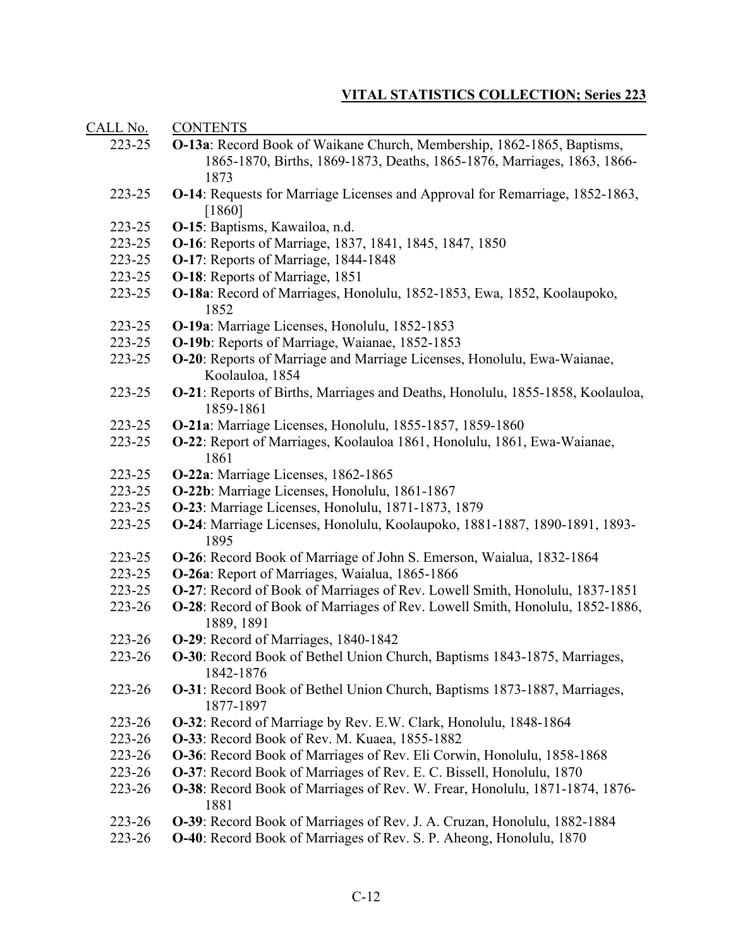| CALL No. | <b>CONTENTS</b>                                                                               |
|----------|-----------------------------------------------------------------------------------------------|
| 223-25   | O-13a: Record Book of Waikane Church, Membership, 1862-1865, Baptisms,                        |
|          | 1865-1870, Births, 1869-1873, Deaths, 1865-1876, Marriages, 1863, 1866-                       |
|          | 1873                                                                                          |
| 223-25   | O-14: Requests for Marriage Licenses and Approval for Remarriage, 1852-1863,                  |
|          | [1860]                                                                                        |
| 223-25   | O-15: Baptisms, Kawailoa, n.d.                                                                |
| 223-25   | O-16: Reports of Marriage, 1837, 1841, 1845, 1847, 1850                                       |
| 223-25   | O-17: Reports of Marriage, 1844-1848                                                          |
| 223-25   | <b>O-18:</b> Reports of Marriage, 1851                                                        |
| 223-25   | O-18a: Record of Marriages, Honolulu, 1852-1853, Ewa, 1852, Koolaupoko,                       |
|          | 1852                                                                                          |
| 223-25   | O-19a: Marriage Licenses, Honolulu, 1852-1853                                                 |
| 223-25   | O-19b: Reports of Marriage, Waianae, 1852-1853                                                |
| 223-25   | O-20: Reports of Marriage and Marriage Licenses, Honolulu, Ewa-Waianae,<br>Koolauloa, 1854    |
| 223-25   | O-21: Reports of Births, Marriages and Deaths, Honolulu, 1855-1858, Koolauloa,                |
|          | 1859-1861                                                                                     |
| 223-25   | O-21a: Marriage Licenses, Honolulu, 1855-1857, 1859-1860                                      |
| 223-25   | O-22: Report of Marriages, Koolauloa 1861, Honolulu, 1861, Ewa-Waianae,                       |
|          | 1861                                                                                          |
| 223-25   | O-22a: Marriage Licenses, 1862-1865                                                           |
| 223-25   | O-22b: Marriage Licenses, Honolulu, 1861-1867                                                 |
| 223-25   | O-23: Marriage Licenses, Honolulu, 1871-1873, 1879                                            |
| 223-25   | O-24: Marriage Licenses, Honolulu, Koolaupoko, 1881-1887, 1890-1891, 1893-<br>1895            |
| 223-25   | <b>O-26</b> : Record Book of Marriage of John S. Emerson, Waialua, 1832-1864                  |
| 223-25   | O-26a: Report of Marriages, Waialua, 1865-1866                                                |
| 223-25   | <b>O-27</b> : Record of Book of Marriages of Rev. Lowell Smith, Honolulu, 1837-1851           |
| 223-26   | <b>O-28</b> : Record of Book of Marriages of Rev. Lowell Smith, Honolulu, 1852-1886,          |
|          | 1889, 1891                                                                                    |
| 223-26   | O-29: Record of Marriages, 1840-1842                                                          |
| 223-26   | <b>O-30</b> : Record Book of Bethel Union Church, Baptisms 1843-1875, Marriages,<br>1842-1876 |
| 223-26   | <b>O-31</b> : Record Book of Bethel Union Church, Baptisms 1873-1887, Marriages,<br>1877-1897 |
| 223-26   | O-32: Record of Marriage by Rev. E.W. Clark, Honolulu, 1848-1864                              |
| 223-26   | O-33: Record Book of Rev. M. Kuaea, 1855-1882                                                 |
| 223-26   | O-36: Record Book of Marriages of Rev. Eli Corwin, Honolulu, 1858-1868                        |
| 223-26   | <b>O-37</b> : Record Book of Marriages of Rev. E. C. Bissell, Honolulu, 1870                  |
| 223-26   | O-38: Record Book of Marriages of Rev. W. Frear, Honolulu, 1871-1874, 1876-                   |
|          | 1881                                                                                          |
| 223-26   | O-39: Record Book of Marriages of Rev. J. A. Cruzan, Honolulu, 1882-1884                      |
| 223-26   | <b>O-40</b> : Record Book of Marriages of Rev. S. P. Aheong, Honolulu, 1870                   |
|          |                                                                                               |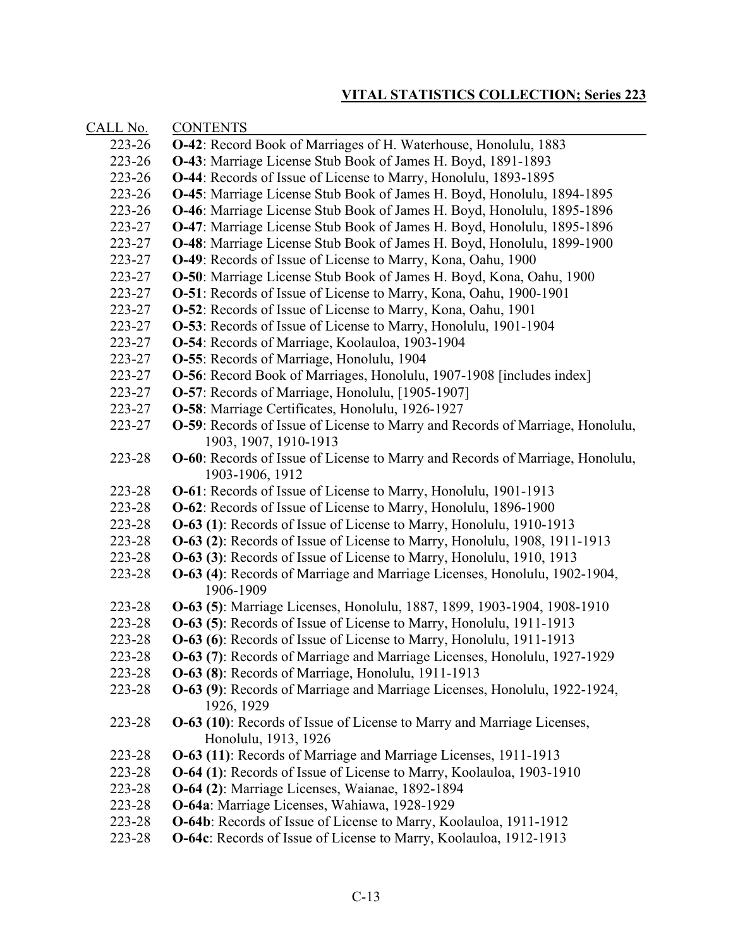| CALL No. | <b>CONTENTS</b>                                                                                                |
|----------|----------------------------------------------------------------------------------------------------------------|
| 223-26   | <b>O-42</b> : Record Book of Marriages of H. Waterhouse, Honolulu, 1883                                        |
| 223-26   | O-43: Marriage License Stub Book of James H. Boyd, 1891-1893                                                   |
| 223-26   | <b>O-44:</b> Records of Issue of License to Marry, Honolulu, 1893-1895                                         |
| 223-26   | <b>O-45</b> : Marriage License Stub Book of James H. Boyd, Honolulu, 1894-1895                                 |
| 223-26   | <b>O-46</b> : Marriage License Stub Book of James H. Boyd, Honolulu, 1895-1896                                 |
| 223-27   | <b>O-47</b> : Marriage License Stub Book of James H. Boyd, Honolulu, 1895-1896                                 |
| 223-27   | <b>O-48</b> : Marriage License Stub Book of James H. Boyd, Honolulu, 1899-1900                                 |
| 223-27   | <b>O-49</b> : Records of Issue of License to Marry, Kona, Oahu, 1900                                           |
| 223-27   | O-50: Marriage License Stub Book of James H. Boyd, Kona, Oahu, 1900                                            |
| 223-27   | O-51: Records of Issue of License to Marry, Kona, Oahu, 1900-1901                                              |
| 223-27   | <b>O-52</b> : Records of Issue of License to Marry, Kona, Oahu, 1901                                           |
| 223-27   | <b>O-53</b> : Records of Issue of License to Marry, Honolulu, 1901-1904                                        |
| 223-27   | <b>O-54</b> : Records of Marriage, Koolauloa, 1903-1904                                                        |
| 223-27   | <b>O-55</b> : Records of Marriage, Honolulu, 1904                                                              |
| 223-27   | <b>O-56</b> : Record Book of Marriages, Honolulu, 1907-1908 [includes index]                                   |
| 223-27   | <b>O-57</b> : Records of Marriage, Honolulu, [1905-1907]                                                       |
| 223-27   | O-58: Marriage Certificates, Honolulu, 1926-1927                                                               |
| 223-27   | <b>O-59</b> : Records of Issue of License to Marry and Records of Marriage, Honolulu,<br>1903, 1907, 1910-1913 |
| 223-28   | <b>O-60</b> : Records of Issue of License to Marry and Records of Marriage, Honolulu,                          |
|          | 1903-1906, 1912                                                                                                |
| 223-28   | <b>O-61</b> : Records of Issue of License to Marry, Honolulu, 1901-1913                                        |
| 223-28   | <b>O-62</b> : Records of Issue of License to Marry, Honolulu, 1896-1900                                        |
| 223-28   | O-63 (1): Records of Issue of License to Marry, Honolulu, 1910-1913                                            |
| 223-28   | O-63 (2): Records of Issue of License to Marry, Honolulu, 1908, 1911-1913                                      |
| 223-28   | <b>O-63 (3):</b> Records of Issue of License to Marry, Honolulu, 1910, 1913                                    |
| 223-28   | O-63 (4): Records of Marriage and Marriage Licenses, Honolulu, 1902-1904,                                      |
|          | 1906-1909                                                                                                      |
| 223-28   | O-63 (5): Marriage Licenses, Honolulu, 1887, 1899, 1903-1904, 1908-1910                                        |
| 223-28   | O-63 (5): Records of Issue of License to Marry, Honolulu, 1911-1913                                            |
| 223-28   | <b>O-63 (6):</b> Records of Issue of License to Marry, Honolulu, 1911-1913                                     |
| 223-28   | <b>O-63 (7):</b> Records of Marriage and Marriage Licenses, Honolulu, 1927-1929                                |
| 223-28   | O-63 (8): Records of Marriage, Honolulu, 1911-1913                                                             |
| 223-28   | O-63 (9): Records of Marriage and Marriage Licenses, Honolulu, 1922-1924,<br>1926, 1929                        |
| 223-28   | <b>O-63 (10):</b> Records of Issue of License to Marry and Marriage Licenses,                                  |
|          | Honolulu, 1913, 1926                                                                                           |
| 223-28   | O-63 (11): Records of Marriage and Marriage Licenses, 1911-1913                                                |
| 223-28   | O-64 (1): Records of Issue of License to Marry, Koolauloa, 1903-1910                                           |
| 223-28   | O-64 (2): Marriage Licenses, Waianae, 1892-1894                                                                |
| 223-28   | O-64a: Marriage Licenses, Wahiawa, 1928-1929                                                                   |
| 223-28   | O-64b: Records of Issue of License to Marry, Koolauloa, 1911-1912                                              |
| 223-28   | O-64c: Records of Issue of License to Marry, Koolauloa, 1912-1913                                              |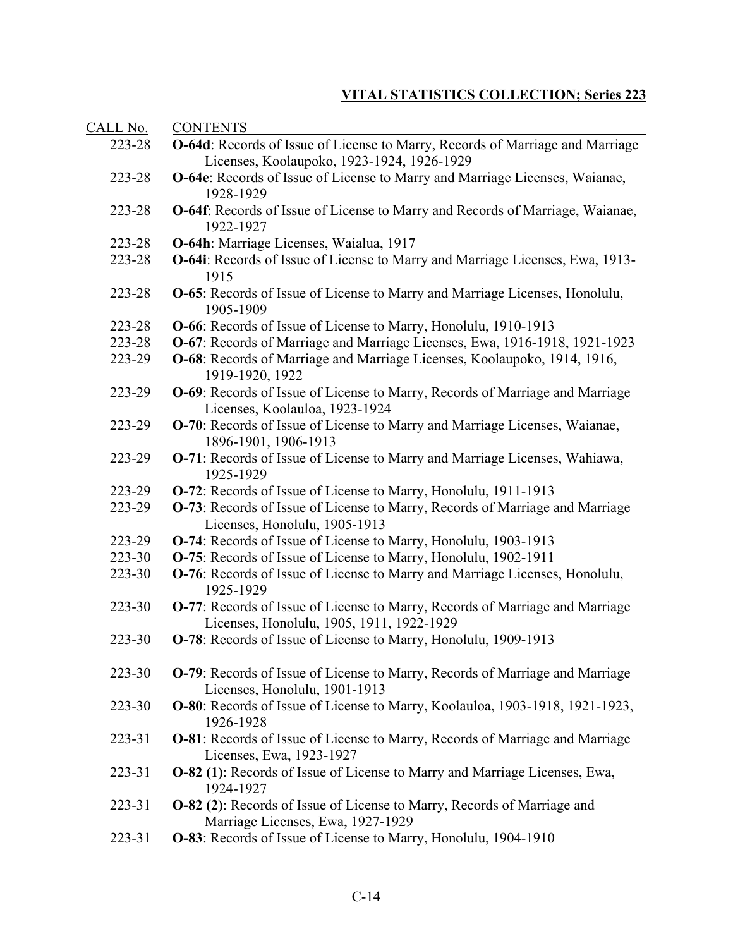| <b>CONTENTS</b>                                                                             |
|---------------------------------------------------------------------------------------------|
| O-64d: Records of Issue of License to Marry, Records of Marriage and Marriage               |
| Licenses, Koolaupoko, 1923-1924, 1926-1929                                                  |
| O-64e: Records of Issue of License to Marry and Marriage Licenses, Waianae,                 |
| 1928-1929                                                                                   |
| O-64f: Records of Issue of License to Marry and Records of Marriage, Waianae,               |
| 1922-1927                                                                                   |
| O-64h: Marriage Licenses, Waialua, 1917                                                     |
| O-64i: Records of Issue of License to Marry and Marriage Licenses, Ewa, 1913-               |
| 1915                                                                                        |
| <b>O-65</b> : Records of Issue of License to Marry and Marriage Licenses, Honolulu,         |
| 1905-1909                                                                                   |
| O-66: Records of Issue of License to Marry, Honolulu, 1910-1913                             |
| O-67: Records of Marriage and Marriage Licenses, Ewa, 1916-1918, 1921-1923                  |
| O-68: Records of Marriage and Marriage Licenses, Koolaupoko, 1914, 1916,<br>1919-1920, 1922 |
| O-69: Records of Issue of License to Marry, Records of Marriage and Marriage                |
| Licenses, Koolauloa, 1923-1924                                                              |
| O-70: Records of Issue of License to Marry and Marriage Licenses, Waianae,                  |
| 1896-1901, 1906-1913                                                                        |
| O-71: Records of Issue of License to Marry and Marriage Licenses, Wahiawa,                  |
| 1925-1929                                                                                   |
| O-72: Records of Issue of License to Marry, Honolulu, 1911-1913                             |
| O-73: Records of Issue of License to Marry, Records of Marriage and Marriage                |
| Licenses, Honolulu, 1905-1913                                                               |
| O-74: Records of Issue of License to Marry, Honolulu, 1903-1913                             |
| O-75: Records of Issue of License to Marry, Honolulu, 1902-1911                             |
| O-76: Records of Issue of License to Marry and Marriage Licenses, Honolulu,                 |
| 1925-1929                                                                                   |
| <b>O-77:</b> Records of Issue of License to Marry, Records of Marriage and Marriage         |
| Licenses, Honolulu, 1905, 1911, 1922-1929                                                   |
| O-78: Records of Issue of License to Marry, Honolulu, 1909-1913                             |
| <b>O-79</b> : Records of Issue of License to Marry, Records of Marriage and Marriage        |
| Licenses, Honolulu, 1901-1913                                                               |
| O-80: Records of Issue of License to Marry, Koolauloa, 1903-1918, 1921-1923,                |
| 1926-1928                                                                                   |
| <b>O-81</b> : Records of Issue of License to Marry, Records of Marriage and Marriage        |
| Licenses, Ewa, 1923-1927                                                                    |
| O-82 (1): Records of Issue of License to Marry and Marriage Licenses, Ewa,                  |
| 1924-1927                                                                                   |
| <b>O-82 (2):</b> Records of Issue of License to Marry, Records of Marriage and              |
| Marriage Licenses, Ewa, 1927-1929                                                           |
| O-83: Records of Issue of License to Marry, Honolulu, 1904-1910                             |
|                                                                                             |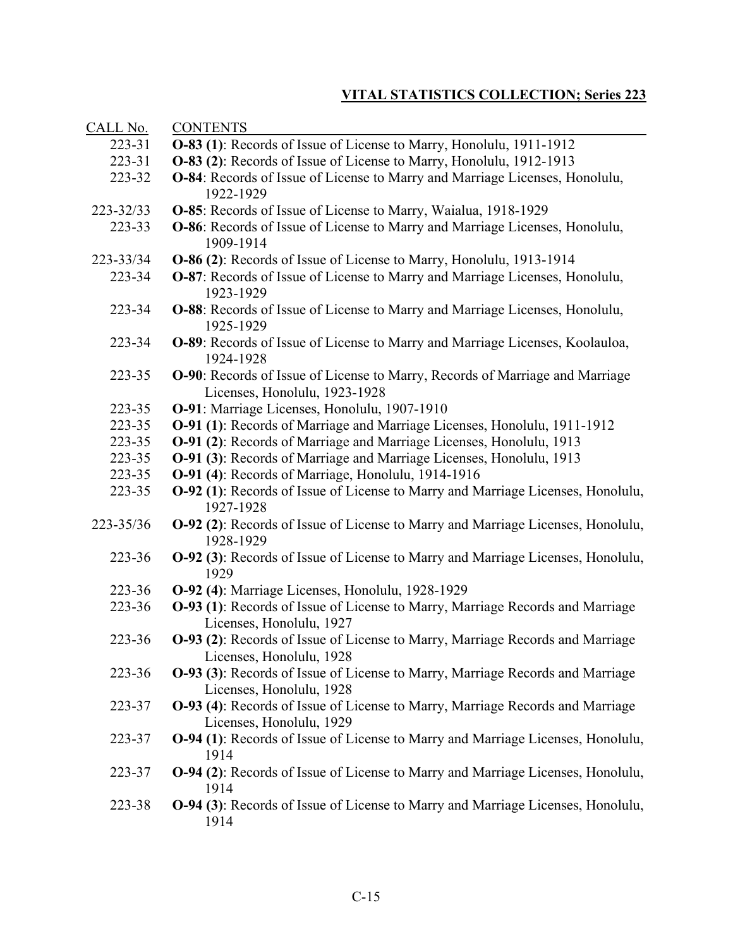| CALL No.  | <b>CONTENTS</b>                                                                                                  |
|-----------|------------------------------------------------------------------------------------------------------------------|
| 223-31    | O-83 (1): Records of Issue of License to Marry, Honolulu, 1911-1912                                              |
| 223-31    | O-83 (2): Records of Issue of License to Marry, Honolulu, 1912-1913                                              |
| 223-32    | O-84: Records of Issue of License to Marry and Marriage Licenses, Honolulu,<br>1922-1929                         |
| 223-32/33 | O-85: Records of Issue of License to Marry, Waialua, 1918-1929                                                   |
| 223-33    | <b>O-86</b> : Records of Issue of License to Marry and Marriage Licenses, Honolulu,<br>1909-1914                 |
| 223-33/34 | O-86 (2): Records of Issue of License to Marry, Honolulu, 1913-1914                                              |
| 223-34    | <b>O-87</b> : Records of Issue of License to Marry and Marriage Licenses, Honolulu,<br>1923-1929                 |
| 223-34    | <b>O-88</b> : Records of Issue of License to Marry and Marriage Licenses, Honolulu,<br>1925-1929                 |
| 223-34    | <b>O-89</b> : Records of Issue of License to Marry and Marriage Licenses, Koolauloa,<br>1924-1928                |
| 223-35    | O-90: Records of Issue of License to Marry, Records of Marriage and Marriage<br>Licenses, Honolulu, 1923-1928    |
| 223-35    | O-91: Marriage Licenses, Honolulu, 1907-1910                                                                     |
| 223-35    | <b>O-91 (1):</b> Records of Marriage and Marriage Licenses, Honolulu, 1911-1912                                  |
| 223-35    | O-91 (2): Records of Marriage and Marriage Licenses, Honolulu, 1913                                              |
| 223-35    | <b>O-91 (3):</b> Records of Marriage and Marriage Licenses, Honolulu, 1913                                       |
| 223-35    | O-91 (4): Records of Marriage, Honolulu, 1914-1916                                                               |
| 223-35    | <b>O-92 (1):</b> Records of Issue of License to Marry and Marriage Licenses, Honolulu,<br>1927-1928              |
| 223-35/36 | O-92 (2): Records of Issue of License to Marry and Marriage Licenses, Honolulu,<br>1928-1929                     |
| 223-36    | <b>O-92 (3):</b> Records of Issue of License to Marry and Marriage Licenses, Honolulu,<br>1929                   |
| 223-36    | O-92 (4): Marriage Licenses, Honolulu, 1928-1929                                                                 |
| 223-36    | <b>O-93 (1):</b> Records of Issue of License to Marry, Marriage Records and Marriage<br>Licenses, Honolulu, 1927 |
| 223-36    | <b>O-93 (2):</b> Records of Issue of License to Marry, Marriage Records and Marriage<br>Licenses, Honolulu, 1928 |
| 223-36    | <b>O-93 (3):</b> Records of Issue of License to Marry, Marriage Records and Marriage<br>Licenses, Honolulu, 1928 |
| 223-37    | <b>O-93 (4):</b> Records of Issue of License to Marry, Marriage Records and Marriage<br>Licenses, Honolulu, 1929 |
| 223-37    | O-94 (1): Records of Issue of License to Marry and Marriage Licenses, Honolulu,<br>1914                          |
| 223-37    | <b>O-94 (2):</b> Records of Issue of License to Marry and Marriage Licenses, Honolulu,<br>1914                   |
| 223-38    | <b>O-94 (3):</b> Records of Issue of License to Marry and Marriage Licenses, Honolulu,<br>1914                   |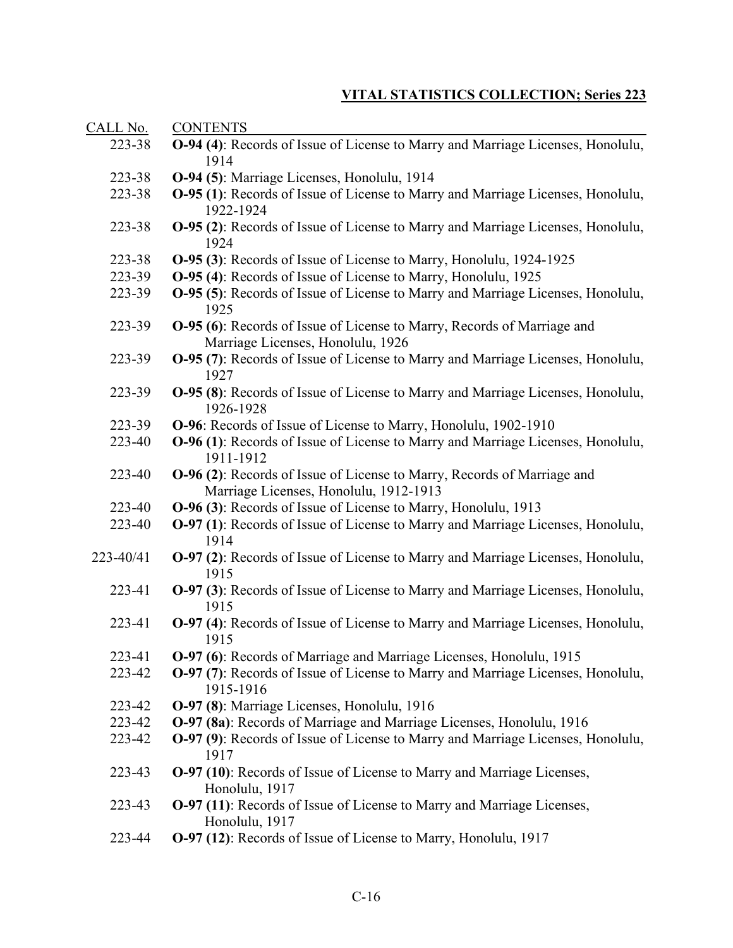| CALL No.  | <b>CONTENTS</b>                                                                                     |
|-----------|-----------------------------------------------------------------------------------------------------|
| 223-38    | <b>O-94 (4):</b> Records of Issue of License to Marry and Marriage Licenses, Honolulu,              |
|           | 1914                                                                                                |
| 223-38    | O-94 (5): Marriage Licenses, Honolulu, 1914                                                         |
| 223-38    | <b>O-95 (1):</b> Records of Issue of License to Marry and Marriage Licenses, Honolulu,              |
|           | 1922-1924                                                                                           |
| 223-38    | <b>O-95 (2):</b> Records of Issue of License to Marry and Marriage Licenses, Honolulu,              |
|           | 1924                                                                                                |
| 223-38    | <b>O-95 (3):</b> Records of Issue of License to Marry, Honolulu, 1924-1925                          |
| 223-39    | O-95 (4): Records of Issue of License to Marry, Honolulu, 1925                                      |
| 223-39    | <b>O-95 (5):</b> Records of Issue of License to Marry and Marriage Licenses, Honolulu,<br>1925      |
| 223-39    | <b>O-95 (6):</b> Records of Issue of License to Marry, Records of Marriage and                      |
|           | Marriage Licenses, Honolulu, 1926                                                                   |
| 223-39    | O-95 (7): Records of Issue of License to Marry and Marriage Licenses, Honolulu,<br>1927             |
| 223-39    | <b>O-95 (8):</b> Records of Issue of License to Marry and Marriage Licenses, Honolulu,<br>1926-1928 |
| 223-39    | O-96: Records of Issue of License to Marry, Honolulu, 1902-1910                                     |
| 223-40    | <b>O-96 (1):</b> Records of Issue of License to Marry and Marriage Licenses, Honolulu,              |
|           | 1911-1912                                                                                           |
| 223-40    | O-96 (2): Records of Issue of License to Marry, Records of Marriage and                             |
|           | Marriage Licenses, Honolulu, 1912-1913                                                              |
| 223-40    | O-96 (3): Records of Issue of License to Marry, Honolulu, 1913                                      |
| 223-40    | <b>O-97 (1):</b> Records of Issue of License to Marry and Marriage Licenses, Honolulu,<br>1914      |
| 223-40/41 | <b>O-97 (2):</b> Records of Issue of License to Marry and Marriage Licenses, Honolulu,<br>1915      |
| 223-41    | O-97 (3): Records of Issue of License to Marry and Marriage Licenses, Honolulu,                     |
|           | 1915                                                                                                |
| 223-41    | O-97 (4): Records of Issue of License to Marry and Marriage Licenses, Honolulu,                     |
|           | 1915                                                                                                |
| 223-41    | O-97 (6): Records of Marriage and Marriage Licenses, Honolulu, 1915                                 |
| 223-42    | <b>O-97 (7):</b> Records of Issue of License to Marry and Marriage Licenses, Honolulu,<br>1915-1916 |
| 223-42    | O-97 (8): Marriage Licenses, Honolulu, 1916                                                         |
| 223-42    | O-97 (8a): Records of Marriage and Marriage Licenses, Honolulu, 1916                                |
| 223-42    | O-97 (9): Records of Issue of License to Marry and Marriage Licenses, Honolulu,<br>1917             |
| 223-43    | <b>O-97 (10):</b> Records of Issue of License to Marry and Marriage Licenses,<br>Honolulu, 1917     |
| 223-43    | <b>O-97 (11):</b> Records of Issue of License to Marry and Marriage Licenses,<br>Honolulu, 1917     |
|           |                                                                                                     |

223-44 **O-97 (12)**: Records of Issue of License to Marry, Honolulu, 1917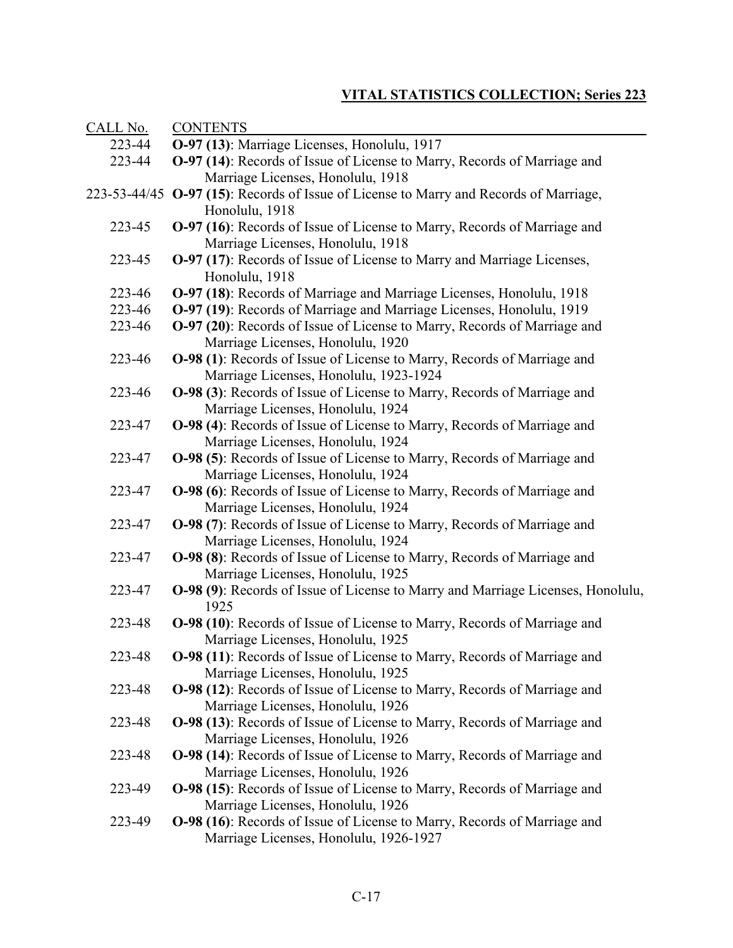| CALL No. | <b>CONTENTS</b>                                                                                                      |
|----------|----------------------------------------------------------------------------------------------------------------------|
| 223-44   | O-97 (13): Marriage Licenses, Honolulu, 1917                                                                         |
| 223-44   | O-97 (14): Records of Issue of License to Marry, Records of Marriage and                                             |
|          | Marriage Licenses, Honolulu, 1918                                                                                    |
|          | 223-53-44/45 O-97 (15): Records of Issue of License to Marry and Records of Marriage,                                |
|          | Honolulu, 1918                                                                                                       |
| 223-45   | O-97 (16): Records of Issue of License to Marry, Records of Marriage and                                             |
|          | Marriage Licenses, Honolulu, 1918                                                                                    |
| 223-45   | O-97 (17): Records of Issue of License to Marry and Marriage Licenses,                                               |
|          | Honolulu, 1918                                                                                                       |
| 223-46   | O-97 (18): Records of Marriage and Marriage Licenses, Honolulu, 1918                                                 |
| 223-46   | O-97 (19): Records of Marriage and Marriage Licenses, Honolulu, 1919                                                 |
| 223-46   | <b>O-97 (20):</b> Records of Issue of License to Marry, Records of Marriage and                                      |
|          | Marriage Licenses, Honolulu, 1920                                                                                    |
| 223-46   | <b>O-98 (1):</b> Records of Issue of License to Marry, Records of Marriage and                                       |
|          | Marriage Licenses, Honolulu, 1923-1924                                                                               |
| 223-46   | <b>O-98 (3):</b> Records of Issue of License to Marry, Records of Marriage and                                       |
|          | Marriage Licenses, Honolulu, 1924                                                                                    |
| 223-47   | <b>O-98 (4):</b> Records of Issue of License to Marry, Records of Marriage and                                       |
|          | Marriage Licenses, Honolulu, 1924                                                                                    |
| 223-47   | O-98 (5): Records of Issue of License to Marry, Records of Marriage and                                              |
|          | Marriage Licenses, Honolulu, 1924                                                                                    |
| 223-47   | <b>O-98 (6):</b> Records of Issue of License to Marry, Records of Marriage and                                       |
|          | Marriage Licenses, Honolulu, 1924                                                                                    |
| 223-47   | <b>O-98 (7):</b> Records of Issue of License to Marry, Records of Marriage and                                       |
|          | Marriage Licenses, Honolulu, 1924                                                                                    |
| 223-47   | O-98 (8): Records of Issue of License to Marry, Records of Marriage and                                              |
|          | Marriage Licenses, Honolulu, 1925                                                                                    |
| 223-47   | <b>O-98 (9):</b> Records of Issue of License to Marry and Marriage Licenses, Honolulu,                               |
|          | 1925                                                                                                                 |
| 223-48   | <b>O-98 (10):</b> Records of Issue of License to Marry, Records of Marriage and                                      |
| 223-48   | Marriage Licenses, Honolulu, 1925                                                                                    |
|          | <b>O-98 (11):</b> Records of Issue of License to Marry, Records of Marriage and                                      |
| 223-48   | Marriage Licenses, Honolulu, 1925<br><b>O-98 (12):</b> Records of Issue of License to Marry, Records of Marriage and |
|          | Marriage Licenses, Honolulu, 1926                                                                                    |
| 223-48   | <b>O-98 (13):</b> Records of Issue of License to Marry, Records of Marriage and                                      |
|          | Marriage Licenses, Honolulu, 1926                                                                                    |
| 223-48   | <b>O-98 (14):</b> Records of Issue of License to Marry, Records of Marriage and                                      |
|          | Marriage Licenses, Honolulu, 1926                                                                                    |
| 223-49   | O-98 (15): Records of Issue of License to Marry, Records of Marriage and                                             |
|          | Marriage Licenses, Honolulu, 1926                                                                                    |
| 223-49   | O-98 (16): Records of Issue of License to Marry, Records of Marriage and                                             |
|          | Marriage Licenses, Honolulu, 1926-1927                                                                               |
|          |                                                                                                                      |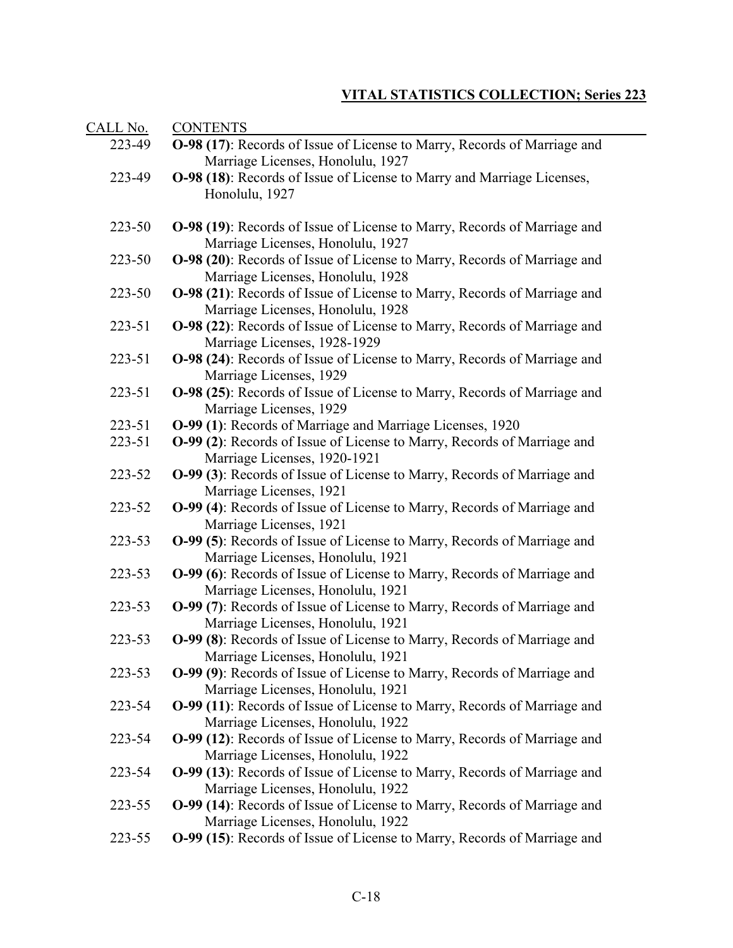| <u>CALL No.</u>  | <b>CONTENTS</b>                                                                                                                                                                           |
|------------------|-------------------------------------------------------------------------------------------------------------------------------------------------------------------------------------------|
| 223-49           | <b>O-98 (17):</b> Records of Issue of License to Marry, Records of Marriage and<br>Marriage Licenses, Honolulu, 1927                                                                      |
| 223-49           | <b>O-98 (18):</b> Records of Issue of License to Marry and Marriage Licenses,<br>Honolulu, 1927                                                                                           |
| 223-50           | <b>O-98 (19):</b> Records of Issue of License to Marry, Records of Marriage and<br>Marriage Licenses, Honolulu, 1927                                                                      |
| 223-50           | O-98 (20): Records of Issue of License to Marry, Records of Marriage and<br>Marriage Licenses, Honolulu, 1928                                                                             |
| 223-50           | <b>O-98 (21):</b> Records of Issue of License to Marry, Records of Marriage and<br>Marriage Licenses, Honolulu, 1928                                                                      |
| 223-51           | O-98 (22): Records of Issue of License to Marry, Records of Marriage and<br>Marriage Licenses, 1928-1929                                                                                  |
| 223-51           | O-98 (24): Records of Issue of License to Marry, Records of Marriage and<br>Marriage Licenses, 1929                                                                                       |
| 223-51           | O-98 (25): Records of Issue of License to Marry, Records of Marriage and<br>Marriage Licenses, 1929                                                                                       |
| 223-51           | O-99 (1): Records of Marriage and Marriage Licenses, 1920                                                                                                                                 |
| 223-51           | O-99 (2): Records of Issue of License to Marry, Records of Marriage and<br>Marriage Licenses, 1920-1921                                                                                   |
| 223-52           | <b>O-99 (3):</b> Records of Issue of License to Marry, Records of Marriage and<br>Marriage Licenses, 1921                                                                                 |
| 223-52           | O-99 (4): Records of Issue of License to Marry, Records of Marriage and<br>Marriage Licenses, 1921                                                                                        |
| 223-53           | O-99 (5): Records of Issue of License to Marry, Records of Marriage and<br>Marriage Licenses, Honolulu, 1921                                                                              |
| 223-53           | O-99 (6): Records of Issue of License to Marry, Records of Marriage and<br>Marriage Licenses, Honolulu, 1921                                                                              |
| 223-53           | O-99 (7): Records of Issue of License to Marry, Records of Marriage and<br>Marriage Licenses, Honolulu, 1921                                                                              |
| 223-53           | O-99 (8): Records of Issue of License to Marry, Records of Marriage and<br>Marriage Licenses, Honolulu, 1921                                                                              |
| 223-53<br>223-54 | O-99 (9): Records of Issue of License to Marry, Records of Marriage and<br>Marriage Licenses, Honolulu, 1921                                                                              |
| 223-54           | O-99 (11): Records of Issue of License to Marry, Records of Marriage and<br>Marriage Licenses, Honolulu, 1922<br>O-99 (12): Records of Issue of License to Marry, Records of Marriage and |
| 223-54           | Marriage Licenses, Honolulu, 1922<br>O-99 (13): Records of Issue of License to Marry, Records of Marriage and                                                                             |
| 223-55           | Marriage Licenses, Honolulu, 1922<br>O-99 (14): Records of Issue of License to Marry, Records of Marriage and                                                                             |
| 223-55           | Marriage Licenses, Honolulu, 1922<br>O-99 (15): Records of Issue of License to Marry, Records of Marriage and                                                                             |
|                  |                                                                                                                                                                                           |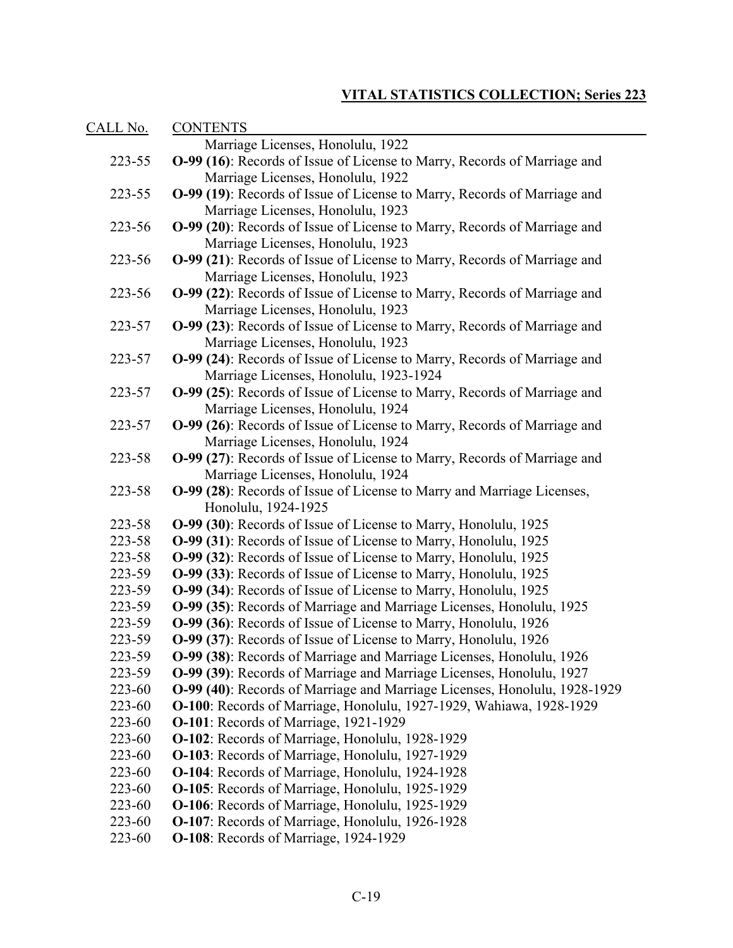| <u>CALL No.</u> | <b>CONTENTS</b>                                                                        |
|-----------------|----------------------------------------------------------------------------------------|
|                 | Marriage Licenses, Honolulu, 1922                                                      |
| 223-55          | O-99 (16): Records of Issue of License to Marry, Records of Marriage and               |
|                 | Marriage Licenses, Honolulu, 1922                                                      |
| 223-55          | O-99 (19): Records of Issue of License to Marry, Records of Marriage and               |
|                 | Marriage Licenses, Honolulu, 1923                                                      |
| 223-56          | O-99 (20): Records of Issue of License to Marry, Records of Marriage and               |
|                 | Marriage Licenses, Honolulu, 1923                                                      |
| 223-56          | O-99 (21): Records of Issue of License to Marry, Records of Marriage and               |
|                 | Marriage Licenses, Honolulu, 1923                                                      |
| 223-56          | O-99 (22): Records of Issue of License to Marry, Records of Marriage and               |
|                 | Marriage Licenses, Honolulu, 1923                                                      |
| 223-57          | O-99 (23): Records of Issue of License to Marry, Records of Marriage and               |
|                 | Marriage Licenses, Honolulu, 1923                                                      |
| 223-57          | O-99 (24): Records of Issue of License to Marry, Records of Marriage and               |
|                 | Marriage Licenses, Honolulu, 1923-1924                                                 |
| 223-57          | O-99 (25): Records of Issue of License to Marry, Records of Marriage and               |
|                 | Marriage Licenses, Honolulu, 1924                                                      |
| 223-57          | O-99 (26): Records of Issue of License to Marry, Records of Marriage and               |
|                 | Marriage Licenses, Honolulu, 1924                                                      |
| 223-58          | O-99 (27): Records of Issue of License to Marry, Records of Marriage and               |
|                 | Marriage Licenses, Honolulu, 1924                                                      |
| 223-58          | O-99 (28): Records of Issue of License to Marry and Marriage Licenses,                 |
| 223-58          | Honolulu, 1924-1925<br>O-99 (30): Records of Issue of License to Marry, Honolulu, 1925 |
| 223-58          | O-99 (31): Records of Issue of License to Marry, Honolulu, 1925                        |
| 223-58          | O-99 (32): Records of Issue of License to Marry, Honolulu, 1925                        |
| 223-59          | O-99 (33): Records of Issue of License to Marry, Honolulu, 1925                        |
| 223-59          | O-99 (34): Records of Issue of License to Marry, Honolulu, 1925                        |
| 223-59          | O-99 (35): Records of Marriage and Marriage Licenses, Honolulu, 1925                   |
| 223-59          | O-99 (36): Records of Issue of License to Marry, Honolulu, 1926                        |
| 223-59          | O-99 (37): Records of Issue of License to Marry, Honolulu, 1926                        |
| 223-59          | O-99 (38): Records of Marriage and Marriage Licenses, Honolulu, 1926                   |
| 223-59          | O-99 (39): Records of Marriage and Marriage Licenses, Honolulu, 1927                   |
| 223-60          | O-99 (40): Records of Marriage and Marriage Licenses, Honolulu, 1928-1929              |
| 223-60          | O-100: Records of Marriage, Honolulu, 1927-1929, Wahiawa, 1928-1929                    |
| 223-60          | <b>O-101:</b> Records of Marriage, 1921-1929                                           |
| 223-60          | O-102: Records of Marriage, Honolulu, 1928-1929                                        |
| 223-60          | O-103: Records of Marriage, Honolulu, 1927-1929                                        |
| 223-60          | O-104: Records of Marriage, Honolulu, 1924-1928                                        |
| 223-60          | O-105: Records of Marriage, Honolulu, 1925-1929                                        |
| 223-60          | O-106: Records of Marriage, Honolulu, 1925-1929                                        |
| 223-60          | O-107: Records of Marriage, Honolulu, 1926-1928                                        |
| 223-60          | O-108: Records of Marriage, 1924-1929                                                  |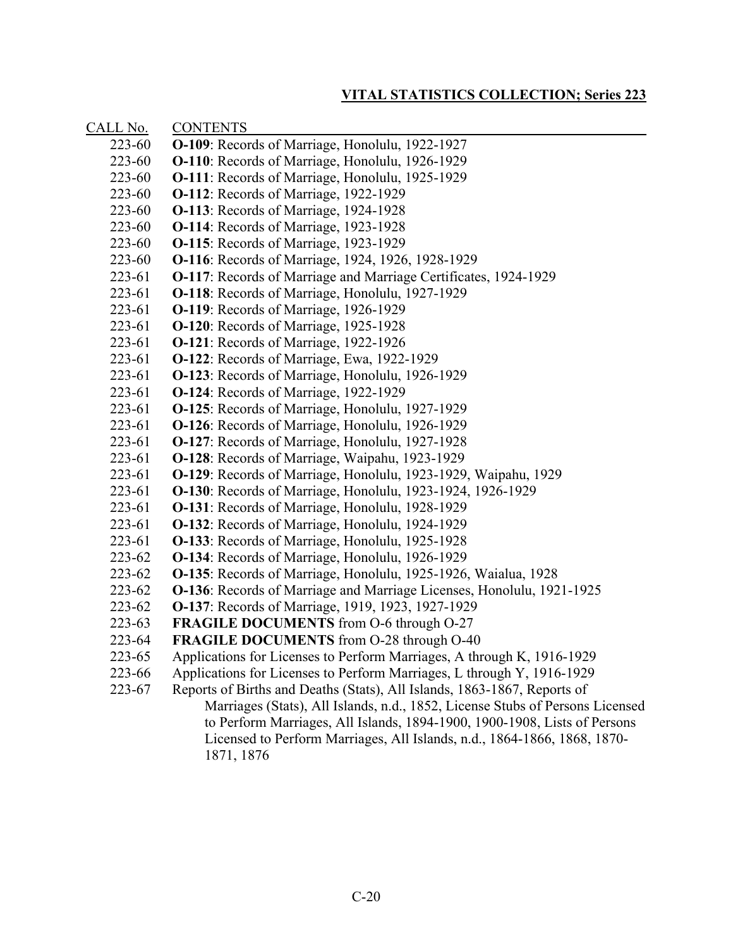| CALL No. | <b>CONTENTS</b>                                                               |
|----------|-------------------------------------------------------------------------------|
| 223-60   | <b>O-109</b> : Records of Marriage, Honolulu, 1922-1927                       |
| 223-60   | O-110: Records of Marriage, Honolulu, 1926-1929                               |
| 223-60   | <b>O-111:</b> Records of Marriage, Honolulu, 1925-1929                        |
| 223-60   | <b>O-112:</b> Records of Marriage, 1922-1929                                  |
| 223-60   | <b>O-113</b> : Records of Marriage, 1924-1928                                 |
| 223-60   | O-114: Records of Marriage, 1923-1928                                         |
| 223-60   | <b>O-115:</b> Records of Marriage, 1923-1929                                  |
| 223-60   | O-116: Records of Marriage, 1924, 1926, 1928-1929                             |
| 223-61   | <b>O-117:</b> Records of Marriage and Marriage Certificates, 1924-1929        |
| 223-61   | O-118: Records of Marriage, Honolulu, 1927-1929                               |
| 223-61   | O-119: Records of Marriage, 1926-1929                                         |
| 223-61   | <b>O-120:</b> Records of Marriage, 1925-1928                                  |
| 223-61   | <b>O-121:</b> Records of Marriage, 1922-1926                                  |
| 223-61   | O-122: Records of Marriage, Ewa, 1922-1929                                    |
| 223-61   | O-123: Records of Marriage, Honolulu, 1926-1929                               |
| 223-61   | <b>O-124:</b> Records of Marriage, 1922-1929                                  |
| 223-61   | O-125: Records of Marriage, Honolulu, 1927-1929                               |
| 223-61   | <b>O-126:</b> Records of Marriage, Honolulu, 1926-1929                        |
| 223-61   | O-127: Records of Marriage, Honolulu, 1927-1928                               |
| 223-61   | O-128: Records of Marriage, Waipahu, 1923-1929                                |
| 223-61   | O-129: Records of Marriage, Honolulu, 1923-1929, Waipahu, 1929                |
| 223-61   | <b>O-130</b> : Records of Marriage, Honolulu, 1923-1924, 1926-1929            |
| 223-61   | <b>O-131</b> : Records of Marriage, Honolulu, 1928-1929                       |
| 223-61   | <b>O-132</b> : Records of Marriage, Honolulu, 1924-1929                       |
| 223-61   | <b>O-133</b> : Records of Marriage, Honolulu, 1925-1928                       |
| 223-62   | O-134: Records of Marriage, Honolulu, 1926-1929                               |
| 223-62   | O-135: Records of Marriage, Honolulu, 1925-1926, Waialua, 1928                |
| 223-62   | <b>O-136</b> : Records of Marriage and Marriage Licenses, Honolulu, 1921-1925 |
| 223-62   | O-137: Records of Marriage, 1919, 1923, 1927-1929                             |
| 223-63   | FRAGILE DOCUMENTS from O-6 through O-27                                       |
| 223-64   | FRAGILE DOCUMENTS from O-28 through O-40                                      |
| 223-65   | Applications for Licenses to Perform Marriages, A through K, 1916-1929        |
| 223-66   | Applications for Licenses to Perform Marriages, L through Y, 1916-1929        |
| 223-67   | Reports of Births and Deaths (Stats), All Islands, 1863-1867, Reports of      |
|          | Marriages (Stats), All Islands, n.d., 1852, License Stubs of Persons Licensed |
|          | to Perform Marriages, All Islands, 1894-1900, 1900-1908, Lists of Persons     |
|          | Licensed to Perform Marriages, All Islands, n.d., 1864-1866, 1868, 1870-      |
|          | 1871, 1876                                                                    |